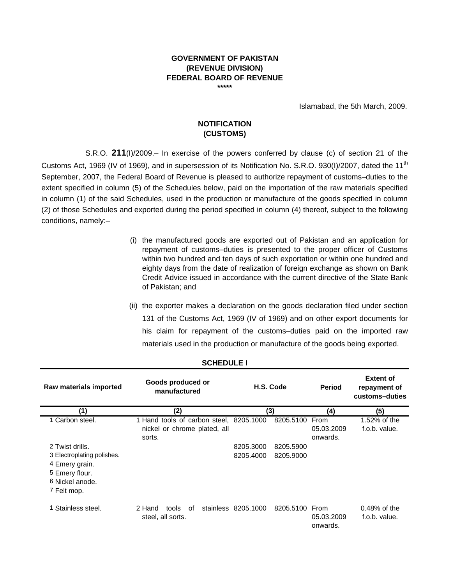#### **GOVERNMENT OF PAKISTAN (REVENUE DIVISION) FEDERAL BOARD OF REVENUE \*\*\*\*\***

Islamabad, the 5th March, 2009.

## **NOTIFICATION (CUSTOMS)**

S.R.O. **211**(I)/2009.– In exercise of the powers conferred by clause (c) of section 21 of the Customs Act, 1969 (IV of 1969), and in supersession of its Notification No. S.R.O. 930(I)/2007, dated the 11<sup>th</sup> September, 2007, the Federal Board of Revenue is pleased to authorize repayment of customs–duties to the extent specified in column (5) of the Schedules below, paid on the importation of the raw materials specified in column (1) of the said Schedules, used in the production or manufacture of the goods specified in column (2) of those Schedules and exported during the period specified in column (4) thereof, subject to the following conditions, namely:–

- (i) the manufactured goods are exported out of Pakistan and an application for repayment of customs–duties is presented to the proper officer of Customs within two hundred and ten days of such exportation or within one hundred and eighty days from the date of realization of foreign exchange as shown on Bank Credit Advice issued in accordance with the current directive of the State Bank of Pakistan; and
- (ii) the exporter makes a declaration on the goods declaration filed under section 131 of the Customs Act, 1969 (IV of 1969) and on other export documents for his claim for repayment of the customs–duties paid on the imported raw materials used in the production or manufacture of the goods being exported.

| Raw materials imported                                                                                              | Goods produced or<br>manufactured                                                 | H.S. Code                                        | <b>Period</b>                  | <b>Extent of</b><br>repayment of<br>customs-duties |
|---------------------------------------------------------------------------------------------------------------------|-----------------------------------------------------------------------------------|--------------------------------------------------|--------------------------------|----------------------------------------------------|
| (1)                                                                                                                 | (2)                                                                               | (3)                                              | (4)                            | (5)                                                |
| 1 Carbon steel.                                                                                                     | 1 Hand tools of carbon steel, 8205.1000<br>nickel or chrome plated, all<br>sorts. | 8205.5100                                        | From<br>05.03.2009<br>onwards. | 1.52% of the<br>f.o.b. value.                      |
| 2 Twist drills.<br>3 Electroplating polishes.<br>4 Emery grain.<br>5 Emery flour.<br>6 Nickel anode.<br>7 Felt mop. |                                                                                   | 8205.3000<br>8205.5900<br>8205.4000<br>8205.9000 |                                |                                                    |
| 1 Stainless steel.                                                                                                  | 2 Hand<br>of<br>tools<br>steel, all sorts.                                        | stainless 8205.1000<br>8205.5100 From            | 05.03.2009<br>onwards.         | $0.48\%$ of the<br>f.o.b. value.                   |

### **SCHEDULE I**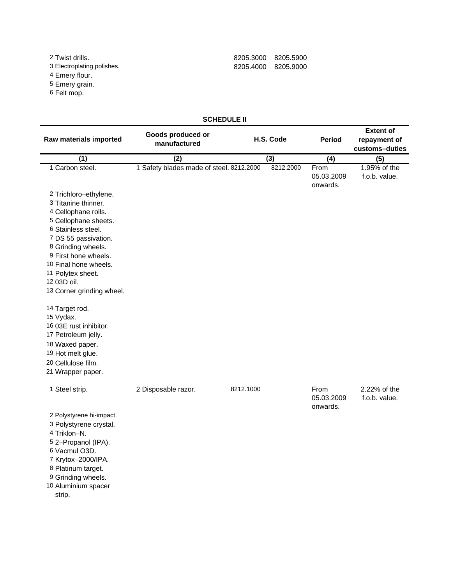4 Emery flour.

5 Emery grain.

6 Felt mop.

## 2 Twist drills. 8205.3000 8205.5900 8 205 4000 8205.9000

## **SCHEDULE II**

| Raw materials imported                                                                                                                                                                                                                                                                                                                     | Goods produced or<br>H.S. Code<br>manufactured |           | <b>Period</b> | <b>Extent of</b><br>repayment of<br>customs-duties |                               |
|--------------------------------------------------------------------------------------------------------------------------------------------------------------------------------------------------------------------------------------------------------------------------------------------------------------------------------------------|------------------------------------------------|-----------|---------------|----------------------------------------------------|-------------------------------|
| (1)                                                                                                                                                                                                                                                                                                                                        | (2)                                            |           | (3)           | (4)                                                | (5)                           |
| 1 Carbon steel.                                                                                                                                                                                                                                                                                                                            | 1 Safety blades made of steel. 8212.2000       |           | 8212.2000     | From<br>05.03.2009<br>onwards.                     | 1.95% of the<br>f.o.b. value. |
| 2 Trichloro-ethylene.<br>3 Titanine thinner.<br>4 Cellophane rolls.<br>5 Cellophane sheets.<br>6 Stainless steel.<br>7 DS 55 passivation.<br>8 Grinding wheels.<br>9 First hone wheels.<br>10 Final hone wheels.<br>11 Polytex sheet.<br>12 03D oil.<br>13 Corner grinding wheel.<br>14 Target rod.<br>15 Vydax.<br>16 03E rust inhibitor. |                                                |           |               |                                                    |                               |
| 17 Petroleum jelly.<br>18 Waxed paper.<br>19 Hot melt glue.<br>20 Cellulose film.<br>21 Wrapper paper.                                                                                                                                                                                                                                     |                                                |           |               |                                                    |                               |
| 1 Steel strip.<br>2 Polystyrene hi-impact.<br>3 Polystyrene crystal.<br>4 Triklon-N.<br>5 2-Propanol (IPA).<br>6 Vacmul O3D.<br>7 Krytox-2000/IPA.<br>8 Platinum target.<br>9 Grinding wheels.<br>10 Aluminium spacer<br>strip.                                                                                                            | 2 Disposable razor.                            | 8212.1000 |               | From<br>05.03.2009<br>onwards.                     | 2.22% of the<br>f.o.b. value. |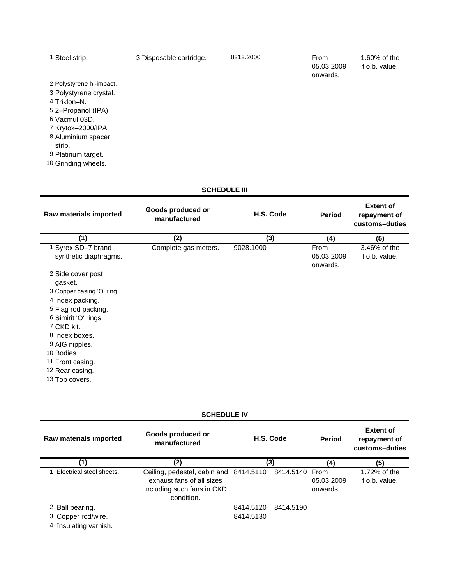| Steel strip.             | 3 Disposable cartridge. | 8212.2000 | From<br>05.03.2009<br>onwards. | 1.60% of the<br>f.o.b. value. |
|--------------------------|-------------------------|-----------|--------------------------------|-------------------------------|
| 2 Polystyrene hi-impact. |                         |           |                                |                               |
| 3 Polystyrene crystal.   |                         |           |                                |                               |
| 4 Triklon-N.             |                         |           |                                |                               |
| 5 2–Propanol (IPA).      |                         |           |                                |                               |
| 6 Vacmul 03D.            |                         |           |                                |                               |
| 7 Krytox-2000/IPA.       |                         |           |                                |                               |
| 8 Aluminium spacer       |                         |           |                                |                               |
| strip.                   |                         |           |                                |                               |
| 9 Platinum target.       |                         |           |                                |                               |
| 10 Grinding wheels.      |                         |           |                                |                               |
|                          |                         |           |                                |                               |
|                          |                         |           |                                |                               |

### **SCHEDULE III**

| Raw materials imported                    | Goods produced or<br>manufactured | H.S. Code | <b>Period</b>                  | <b>Extent of</b><br>repayment of<br>customs-duties |
|-------------------------------------------|-----------------------------------|-----------|--------------------------------|----------------------------------------------------|
| (1)                                       | (2)                               | (3)       | (4)                            | (5)                                                |
| Syrex SD-7 brand<br>synthetic diaphragms. | Complete gas meters.              | 9028.1000 | From<br>05.03.2009<br>onwards. | 3.46% of the<br>f.o.b. value.                      |
| 2 Side cover post<br>gasket.              |                                   |           |                                |                                                    |
| 3 Copper casing 'O' ring.                 |                                   |           |                                |                                                    |
| 4 Index packing.                          |                                   |           |                                |                                                    |
| 5 Flag rod packing.                       |                                   |           |                                |                                                    |
| 6 Simirit 'O' rings.                      |                                   |           |                                |                                                    |
| 7 CKD kit.                                |                                   |           |                                |                                                    |
| 8 Index boxes.                            |                                   |           |                                |                                                    |
| 9 AIG nipples.                            |                                   |           |                                |                                                    |
| 10 Bodies.                                |                                   |           |                                |                                                    |
| 11 Front casing.                          |                                   |           |                                |                                                    |
| 12 Rear casing.                           |                                   |           |                                |                                                    |
| 13 Top covers.                            |                                   |           |                                |                                                    |

**SCHEDULE IV**

| Raw materials imported                      | Goods produced or<br>H.S. Code<br>manufactured                                                                                 |           |           |                        |                               |  | <b>Period</b> |  |  |  | <b>Extent of</b><br>repayment of<br>customs-duties |
|---------------------------------------------|--------------------------------------------------------------------------------------------------------------------------------|-----------|-----------|------------------------|-------------------------------|--|---------------|--|--|--|----------------------------------------------------|
| '1)                                         | (2)                                                                                                                            | (3)       |           | (4)                    | (5)                           |  |               |  |  |  |                                                    |
| Electrical steel sheets.                    | Ceiling, pedestal, cabin and 8414.5110 8414.5140 From<br>exhaust fans of all sizes<br>including such fans in CKD<br>condition. |           |           | 05.03.2009<br>onwards. | 1.72% of the<br>f.o.b. value. |  |               |  |  |  |                                                    |
| 2 Ball bearing.                             |                                                                                                                                | 8414.5120 | 8414.5190 |                        |                               |  |               |  |  |  |                                                    |
| 3 Copper rod/wire.<br>4 Insulating varnish. |                                                                                                                                | 8414.5130 |           |                        |                               |  |               |  |  |  |                                                    |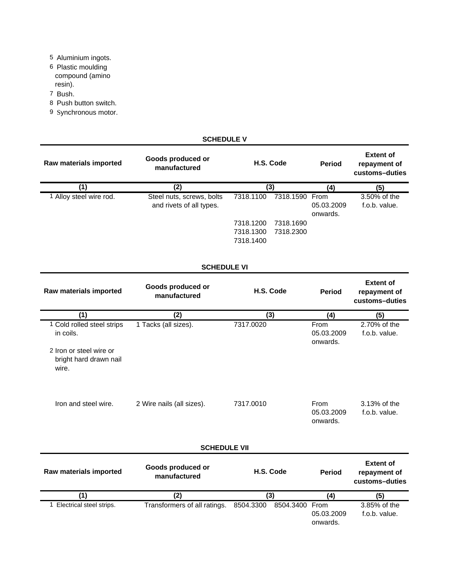- 5 Aluminium ingots.
- 6 Plastic moulding compound (amino resin).
- 7 Bush.
- 8 Push button switch.
- 9 Synchronous motor.

| <b>SCHEDULE V</b>                                          |                                                       |                                                                                 |                                |                                                    |  |  |
|------------------------------------------------------------|-------------------------------------------------------|---------------------------------------------------------------------------------|--------------------------------|----------------------------------------------------|--|--|
| Raw materials imported                                     | Goods produced or<br>manufactured                     | H.S. Code                                                                       | <b>Period</b>                  | <b>Extent of</b><br>repayment of<br>customs-duties |  |  |
| (1)                                                        | (2)                                                   | (3)                                                                             | (4)                            | (5)                                                |  |  |
| 1 Alloy steel wire rod.                                    | Steel nuts, screws, bolts<br>and rivets of all types. | 7318.1100<br>7318.1590 From<br>7318.1690<br>7318.1200<br>7318.1300<br>7318.2300 | 05.03.2009<br>onwards.         | 3.50% of the<br>f.o.b. value.                      |  |  |
|                                                            |                                                       | 7318.1400                                                                       |                                |                                                    |  |  |
|                                                            | <b>SCHEDULE VI</b>                                    |                                                                                 |                                |                                                    |  |  |
| Raw materials imported                                     | Goods produced or<br>manufactured                     | H.S. Code                                                                       | <b>Period</b>                  | <b>Extent of</b><br>repayment of<br>customs-duties |  |  |
| (1)                                                        | (2)                                                   | (3)                                                                             | (4)                            | (5)                                                |  |  |
| 1 Cold rolled steel strips<br>in coils.                    | 1 Tacks (all sizes).                                  | 7317.0020                                                                       | From<br>05.03.2009<br>onwards. | 2.70% of the<br>f.o.b. value.                      |  |  |
| 2 Iron or steel wire or<br>bright hard drawn nail<br>wire. |                                                       |                                                                                 |                                |                                                    |  |  |
| Iron and steel wire.                                       | 2 Wire nails (all sizes).                             | 7317.0010                                                                       | From<br>05.03.2009<br>onwards. | 3.13% of the<br>f.o.b. value.                      |  |  |
| <b>SCHEDULE VII</b>                                        |                                                       |                                                                                 |                                |                                                    |  |  |
| Raw materials imported                                     | Goods produced or<br>manufactured                     | H.S. Code                                                                       | <b>Period</b>                  | <b>Extent of</b><br>repayment of<br>customs-duties |  |  |
| $\overline{(1)}$                                           | $\overline{(2)}$                                      | $\overline{(3)}$                                                                | (4)                            | (5)                                                |  |  |
| 1 Electrical steel strips.                                 | Transformers of all ratings.                          | 8504.3300<br>8504.3400 From                                                     | 05.03.2009<br>onwards.         | 3.85% of the<br>f.o.b. value.                      |  |  |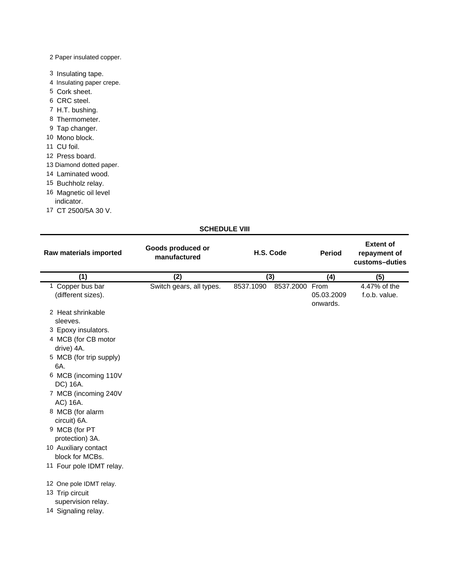### 2 Paper insulated copper.

- 3 Insulating tape.
- 4 Insulating paper crepe.
- 5 Cork sheet.
- 6 CRC steel.
- 7 H.T. bushing.
- 8 Thermometer.
- 9 Tap changer.
- 10 Mono block.
- 11 CU foil.
- 12 Press board.
- 13 Diamond dotted paper.
- 14 Laminated wood.
- 15 Buchholz relay.
- 16 Magnetic oil level
- indicator.
- 17 CT 2500/5A 30 V.

### **SCHEDULE VIII**

| Raw materials imported                  | Goods produced or<br>manufactured | H.S. Code              | <b>Period</b>                  | <b>Extent of</b><br>repayment of<br>customs-duties |
|-----------------------------------------|-----------------------------------|------------------------|--------------------------------|----------------------------------------------------|
| (1)                                     | (2)                               | $\overline{(3)}$       | (4)                            | (5)                                                |
| 1 Copper bus bar<br>(different sizes).  | Switch gears, all types.          | 8537.2000<br>8537.1090 | From<br>05.03.2009<br>onwards. | 4.47% of the<br>f.o.b. value.                      |
| 2 Heat shrinkable<br>sleeves.           |                                   |                        |                                |                                                    |
| 3 Epoxy insulators.                     |                                   |                        |                                |                                                    |
| 4 MCB (for CB motor<br>drive) 4A.       |                                   |                        |                                |                                                    |
| 5 MCB (for trip supply)<br>6A.          |                                   |                        |                                |                                                    |
| 6 MCB (incoming 110V<br>DC) 16A.        |                                   |                        |                                |                                                    |
| 7 MCB (incoming 240V<br>AC) 16A.        |                                   |                        |                                |                                                    |
| 8 MCB (for alarm<br>circuit) 6A.        |                                   |                        |                                |                                                    |
| 9 MCB (for PT<br>protection) 3A.        |                                   |                        |                                |                                                    |
| 10 Auxiliary contact<br>block for MCBs. |                                   |                        |                                |                                                    |
| 11 Four pole IDMT relay.                |                                   |                        |                                |                                                    |
| 12 One pole IDMT relay.                 |                                   |                        |                                |                                                    |
| 13 Trip circuit<br>supervision relay.   |                                   |                        |                                |                                                    |
| 14 Signaling relay.                     |                                   |                        |                                |                                                    |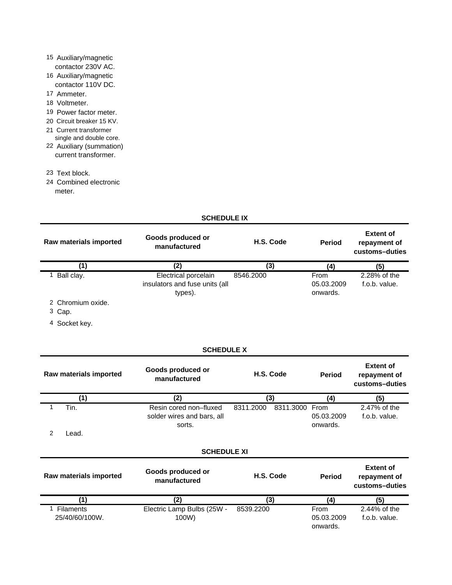## 15 Auxiliary/magnetic contactor 230V AC.

- 16 Auxiliary/magnetic contactor 110V DC.
- 17 Ammeter.
- 18 Voltmeter.
- 19 Power factor meter.
- 20 Circuit breaker 15 KV.
- 21 Current transformer
- single and double core.
- 22 Auxiliary (summation) current transformer.
- 23 Text block.
- 24 Combined electronic meter.

### **SCHEDULE IX**

| Raw materials imported     | Goods produced or<br>manufactured                                 | H.S. Code | <b>Period</b>                  | <b>Extent of</b><br>repayment of<br>customs-duties |
|----------------------------|-------------------------------------------------------------------|-----------|--------------------------------|----------------------------------------------------|
| (1)                        | (2)                                                               | (3)       | (4)                            | (5)                                                |
| Ball clay.<br>$\mathbf{1}$ | Electrical porcelain<br>insulators and fuse units (all<br>types). | 8546.2000 | From<br>05.03.2009<br>onwards. | 2.28% of the<br>f.o.b. value.                      |
| 2 Chromium oxide.          |                                                                   |           |                                |                                                    |
| 3 Cap.                     |                                                                   |           |                                |                                                    |
| Socket key.<br>4           |                                                                   |           |                                |                                                    |
|                            | <b>SCHEDULE X</b>                                                 |           |                                |                                                    |
| Raw materials imported     | Goods produced or<br>manufactured                                 | H.S. Code | <b>Period</b>                  | <b>Extent of</b><br>repayment of<br>customs-duties |
| (1)                        | (2)                                                               | (3)       | (4)                            | (5)                                                |

| . . <i>.</i>       |                            |           | . – ,          | 11.        | v             |  |
|--------------------|----------------------------|-----------|----------------|------------|---------------|--|
| Tin.               | Resin cored non-fluxed     | 8311.2000 | 8311.3000 From |            | 2.47% of the  |  |
|                    | solder wires and bars, all |           |                | 05.03.2009 | f.o.b. value. |  |
|                    | sorts.                     |           |                | onwards.   |               |  |
| Lead.              |                            |           |                |            |               |  |
|                    |                            |           |                |            |               |  |
| <b>SCHEDULE XI</b> |                            |           |                |            |               |  |
|                    |                            |           |                |            |               |  |

| Goods produced or<br>Raw materials imported<br>manufactured |                            | H.S. Code | <b>Period</b> | <b>Extent of</b><br>repayment of<br>customs-duties |  |
|-------------------------------------------------------------|----------------------------|-----------|---------------|----------------------------------------------------|--|
| $^{\prime}$ 1.                                              |                            | (3)       |               | (5)                                                |  |
| <b>Filaments</b>                                            | Electric Lamp Bulbs (25W - | 8539.2200 | From          | 2.44% of the                                       |  |
| 25/40/60/100W.                                              | 100W)                      |           | 05.03.2009    | f.o.b. value.                                      |  |
|                                                             |                            |           | onwards.      |                                                    |  |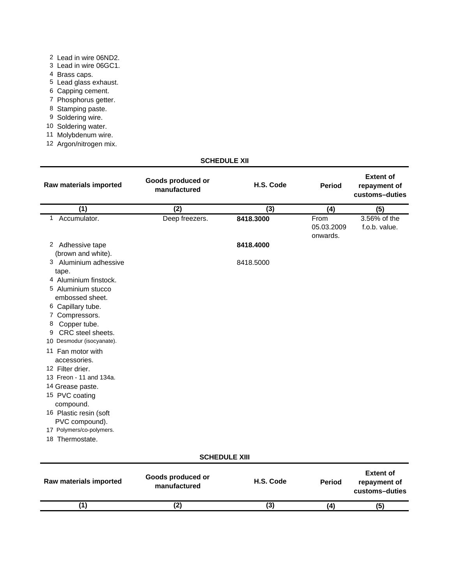|  |  | 2 Lead in wire 06ND2. |
|--|--|-----------------------|
|  |  | ----                  |

- 3 Lead in wire 06GC1.
- 4 Brass caps.
- 5 Lead glass exhaust.
- 6 Capping cement.
- 7 Phosphorus getter.
- 8 Stamping paste.
- 9 Soldering wire.
- 10 Soldering water.
- 11 Molybdenum wire.
- 12 Argon/nitrogen mix.

| Raw materials imported                                                                                                                                                                                                                                                                                                                                                                                                             | Goods produced or<br>manufactured | H.S. Code            | <b>Period</b>                  | <b>Extent of</b><br>repayment of<br>customs-duties |
|------------------------------------------------------------------------------------------------------------------------------------------------------------------------------------------------------------------------------------------------------------------------------------------------------------------------------------------------------------------------------------------------------------------------------------|-----------------------------------|----------------------|--------------------------------|----------------------------------------------------|
| (1)                                                                                                                                                                                                                                                                                                                                                                                                                                | (2)                               | (3)                  | (4)                            | (5)                                                |
| Accumulator.<br>1                                                                                                                                                                                                                                                                                                                                                                                                                  | Deep freezers.                    | 8418.3000            | From<br>05.03.2009<br>onwards. | 3.56% of the<br>f.o.b. value.                      |
| 2 Adhessive tape<br>(brown and white).                                                                                                                                                                                                                                                                                                                                                                                             |                                   | 8418.4000            |                                |                                                    |
| 3 Aluminium adhessive<br>tape.<br>4 Aluminium finstock.<br>5 Aluminium stucco<br>embossed sheet.<br>6 Capillary tube.<br>7 Compressors.<br>Copper tube.<br>8<br>CRC steel sheets.<br>9<br>10 Desmodur (isocyanate).<br>11 Fan motor with<br>accessories.<br>12 Filter drier.<br>13 Freon - 11 and 134a.<br>14 Grease paste.<br>15 PVC coating<br>compound.<br>16 Plastic resin (soft<br>PVC compound).<br>17 Polymers/co-polymers. |                                   | 8418.5000            |                                |                                                    |
| 18 Thermostate.                                                                                                                                                                                                                                                                                                                                                                                                                    |                                   | <b>SCHEDULE XIII</b> |                                |                                                    |
|                                                                                                                                                                                                                                                                                                                                                                                                                                    |                                   |                      |                                |                                                    |
| Raw materials imported                                                                                                                                                                                                                                                                                                                                                                                                             | Goods produced or<br>manufactured | H.S. Code            | <b>Period</b>                  | <b>Extent of</b><br>repayment of<br>customs-duties |

**(1) (2) (3)**

**(4) (5)**

## **SCHEDULE XII**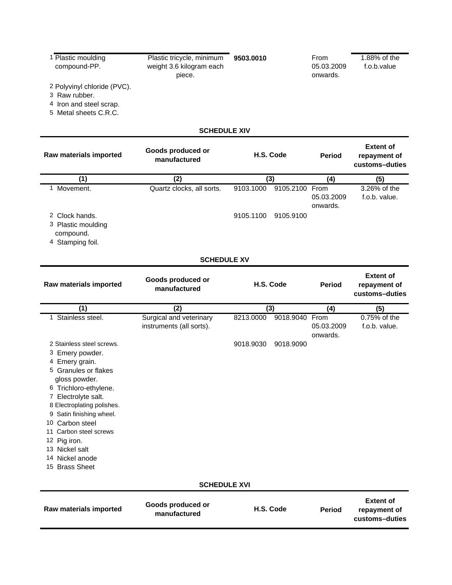| 1 Plastic moulding<br>compound-PP.                                                                                                                                                                                                                                                                                                    | Plastic tricycle, minimum<br>weight 3.6 kilogram each<br>piece. | 9503.0010              |                             | From<br>05.03.2009<br>onwards. | 1.88% of the<br>f.o.b.value                        |
|---------------------------------------------------------------------------------------------------------------------------------------------------------------------------------------------------------------------------------------------------------------------------------------------------------------------------------------|-----------------------------------------------------------------|------------------------|-----------------------------|--------------------------------|----------------------------------------------------|
| 2 Polyvinyl chloride (PVC).<br>3 Raw rubber.<br>4 Iron and steel scrap.<br>5 Metal sheets C.R.C.                                                                                                                                                                                                                                      |                                                                 |                        |                             |                                |                                                    |
|                                                                                                                                                                                                                                                                                                                                       | <b>SCHEDULE XIV</b>                                             |                        |                             |                                |                                                    |
| Raw materials imported                                                                                                                                                                                                                                                                                                                | Goods produced or<br>manufactured                               |                        | H.S. Code                   | <b>Period</b>                  | <b>Extent of</b><br>repayment of<br>customs-duties |
| (1)                                                                                                                                                                                                                                                                                                                                   | (2)                                                             |                        | (3)                         | (4)                            | (5)                                                |
| 1 Movement.<br>2 Clock hands.<br>3 Plastic moulding                                                                                                                                                                                                                                                                                   | Quartz clocks, all sorts.                                       | 9103.1000<br>9105.1100 | 9105.2100 From<br>9105.9100 | 05.03.2009<br>onwards.         | 3.26% of the<br>f.o.b. value.                      |
| compound.<br>4 Stamping foil.                                                                                                                                                                                                                                                                                                         |                                                                 |                        |                             |                                |                                                    |
|                                                                                                                                                                                                                                                                                                                                       | <b>SCHEDULE XV</b>                                              |                        |                             |                                |                                                    |
| Raw materials imported                                                                                                                                                                                                                                                                                                                | Goods produced or<br>manufactured                               |                        | H.S. Code                   | <b>Period</b>                  | <b>Extent of</b><br>repayment of<br>customs-duties |
|                                                                                                                                                                                                                                                                                                                                       |                                                                 |                        |                             |                                |                                                    |
| (1)                                                                                                                                                                                                                                                                                                                                   | (2)                                                             |                        | (3)                         | (4)                            | (5)                                                |
| 1 Stainless steel.                                                                                                                                                                                                                                                                                                                    | Surgical and veterinary<br>instruments (all sorts).             | 8213.0000              | 9018.9040                   | From<br>05.03.2009<br>onwards. | 0.75% of the<br>f.o.b. value.                      |
| 2 Stainless steel screws.<br>3 Emery powder.<br>4 Emery grain.<br>5 Granules or flakes<br>gloss powder.<br>6 Trichloro-ethylene.<br>7 Electrolyte salt.<br>8 Electroplating polishes.<br>9 Satin finishing wheel.<br>10 Carbon steel<br>11 Carbon steel screws<br>12 Pig iron.<br>13 Nickel salt<br>14 Nickel anode<br>15 Brass Sheet | <b>SCHEDULE XVI</b>                                             | 9018.9030              | 9018.9090                   |                                |                                                    |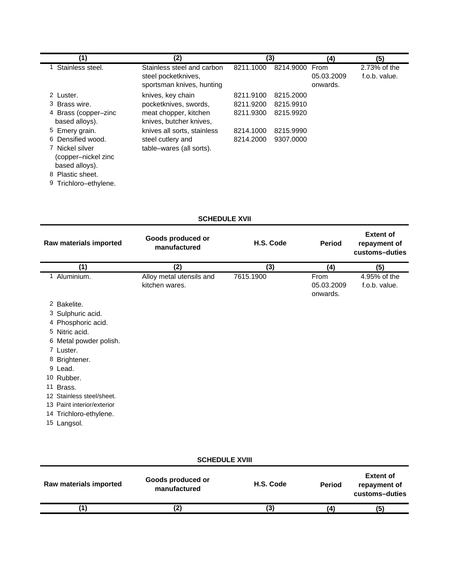| (1)                                                                           | (2)                                                                            |           | (3)       | (4)                            | (5)                           |
|-------------------------------------------------------------------------------|--------------------------------------------------------------------------------|-----------|-----------|--------------------------------|-------------------------------|
| Stainless steel.                                                              | Stainless steel and carbon<br>steel pocketknives,<br>sportsman knives, hunting | 8211.1000 | 8214,9000 | From<br>05.03.2009<br>onwards. | 2.73% of the<br>f.o.b. value. |
| 2 Luster.                                                                     | knives, key chain                                                              | 8211.9100 | 8215.2000 |                                |                               |
| 3 Brass wire.                                                                 | pocketknives, swords,                                                          | 8211.9200 | 8215.9910 |                                |                               |
| 4 Brass (copper-zinc<br>based alloys).                                        | meat chopper, kitchen<br>knives, butcher knives,                               | 8211.9300 | 8215.9920 |                                |                               |
| 5 Emery grain.                                                                | knives all sorts, stainless                                                    | 8214.1000 | 8215.9990 |                                |                               |
| 6 Densified wood.<br>7 Nickel silver<br>(copper–nickel zinc<br>based alloys). | steel cutlery and<br>table-wares (all sorts).                                  | 8214.2000 | 9307.0000 |                                |                               |
| 8 Plastic sheet.                                                              |                                                                                |           |           |                                |                               |
| 9 Trichloro-ethylene.                                                         |                                                                                |           |           |                                |                               |

# **SCHEDULE XVII**

| Raw materials imported     | Goods produced or<br>manufactured          | H.S. Code | <b>Period</b>                  | <b>Extent of</b><br>repayment of<br>customs-duties |
|----------------------------|--------------------------------------------|-----------|--------------------------------|----------------------------------------------------|
| (1)                        | (2)                                        | (3)       | (4)                            | (5)                                                |
| Aluminium.                 | Alloy metal utensils and<br>kitchen wares. | 7615.1900 | From<br>05.03.2009<br>onwards. | 4.95% of the<br>f.o.b. value.                      |
| 2 Bakelite.                |                                            |           |                                |                                                    |
| 3 Sulphuric acid.          |                                            |           |                                |                                                    |
| 4 Phosphoric acid.         |                                            |           |                                |                                                    |
| 5 Nitric acid.             |                                            |           |                                |                                                    |
| 6 Metal powder polish.     |                                            |           |                                |                                                    |
| 7 Luster.                  |                                            |           |                                |                                                    |
| 8 Brightener.              |                                            |           |                                |                                                    |
| 9 Lead.                    |                                            |           |                                |                                                    |
| 10 Rubber.                 |                                            |           |                                |                                                    |
| 11 Brass.                  |                                            |           |                                |                                                    |
| 12 Stainless steel/sheet.  |                                            |           |                                |                                                    |
| 13 Paint interior/exterior |                                            |           |                                |                                                    |
| 14 Trichloro-ethylene.     |                                            |           |                                |                                                    |
| 15 Langsol.                |                                            |           |                                |                                                    |

| <b>SCHEDULE XVIII</b>  |                                   |           |               |                                                    |
|------------------------|-----------------------------------|-----------|---------------|----------------------------------------------------|
| Raw materials imported | Goods produced or<br>manufactured | H.S. Code | <b>Period</b> | <b>Extent of</b><br>repayment of<br>customs-duties |
|                        | (2)                               | (3)       |               | (5)                                                |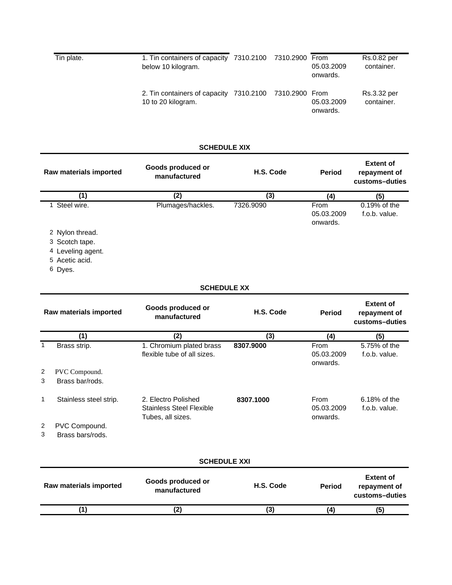| Tin plate. | 1. Tin containers of capacity 7310.2100 7310.2900 From<br>below 10 kilogram. |  | 05.03.2009<br>onwards. | Rs.0.82 per<br>container. |
|------------|------------------------------------------------------------------------------|--|------------------------|---------------------------|
|            | 2. Tin containers of capacity 7310.2100 7310.2900 From<br>10 to 20 kilogram. |  | 05.03.2009<br>onwards. | Rs.3.32 per<br>container. |

# **SCHEDULE XIX**

| Raw materials imported                      | Goods produced or<br>manufactured                                           | H.S. Code |                                | <b>Extent of</b><br>repayment of<br>customs-duties |
|---------------------------------------------|-----------------------------------------------------------------------------|-----------|--------------------------------|----------------------------------------------------|
| (1)                                         | (2)                                                                         | (3)       | (4)                            | (5)                                                |
| 1 Steel wire.                               | Plumages/hackles.                                                           | 7326.9090 | From<br>05.03.2009<br>onwards. | 0.19% of the<br>f.o.b. value.                      |
| 2 Nylon thread.                             |                                                                             |           |                                |                                                    |
| 3 Scotch tape.<br>4 Leveling agent.         |                                                                             |           |                                |                                                    |
| 5 Acetic acid.                              |                                                                             |           |                                |                                                    |
| 6 Dyes.                                     |                                                                             |           |                                |                                                    |
|                                             | <b>SCHEDULE XX</b>                                                          |           |                                |                                                    |
| Raw materials imported                      | Goods produced or<br>manufactured                                           | H.S. Code | <b>Period</b>                  | <b>Extent of</b><br>repayment of<br>customs-duties |
| (1)                                         | $\overline{(2)}$                                                            | (3)       | (4)                            | (5)                                                |
| $\mathbf{1}$<br>Brass strip.                | 1. Chromium plated brass<br>flexible tube of all sizes.                     | 8307.9000 | From<br>05.03.2009<br>onwards. | 5.75% of the<br>f.o.b. value.                      |
| 2<br>PVC Compound.<br>3<br>Brass bar/rods.  |                                                                             |           |                                |                                                    |
| 1<br>Stainless steel strip.                 | 2. Electro Polished<br><b>Stainless Steel Flexible</b><br>Tubes, all sizes. | 8307.1000 | From<br>05.03.2009<br>onwards. | 6.18% of the<br>f.o.b. value.                      |
| 2<br>PVC Compound.<br>3<br>Brass bars/rods. |                                                                             |           |                                |                                                    |
|                                             | <b>SCHEDULE XXI</b>                                                         |           |                                |                                                    |
| Raw materials imported                      | Goods produced or<br>manufactured                                           | H.S. Code | <b>Period</b>                  | <b>Extent of</b><br>repayment of<br>customs-duties |
| (1)                                         | (2)                                                                         | (3)       | (4)                            | (5)                                                |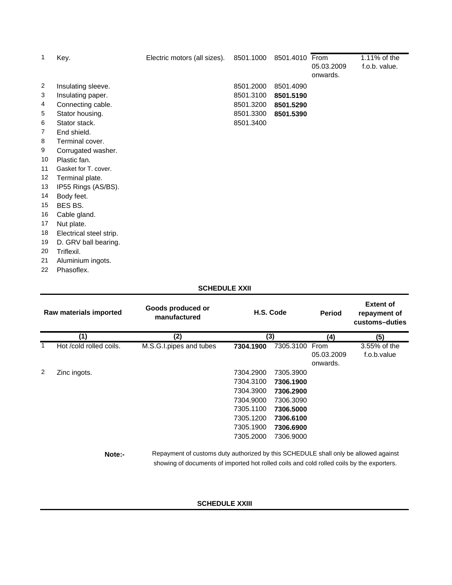| 1                       | Key.                    | Electric motors (all sizes). | 8501.1000 | 8501.4010 From |            | 1.11% of the  |
|-------------------------|-------------------------|------------------------------|-----------|----------------|------------|---------------|
|                         |                         |                              |           |                | 05.03.2009 | f.o.b. value. |
|                         |                         |                              |           |                | onwards.   |               |
| $\overline{\mathbf{c}}$ | Insulating sleeve.      |                              | 8501.2000 | 8501.4090      |            |               |
| 3                       | Insulating paper.       |                              | 8501.3100 | 8501.5190      |            |               |
| 4                       | Connecting cable.       |                              | 8501.3200 | 8501.5290      |            |               |
| 5                       | Stator housing.         |                              | 8501.3300 | 8501.5390      |            |               |
| 6                       | Stator stack.           |                              | 8501.3400 |                |            |               |
| 7                       | End shield.             |                              |           |                |            |               |
| 8                       | Terminal cover.         |                              |           |                |            |               |
| 9                       | Corrugated washer.      |                              |           |                |            |               |
| 10                      | Plastic fan.            |                              |           |                |            |               |
| 11                      | Gasket for T. cover.    |                              |           |                |            |               |
| 12                      | Terminal plate.         |                              |           |                |            |               |
| 13                      | IP55 Rings (AS/BS).     |                              |           |                |            |               |
| 14                      | Body feet.              |                              |           |                |            |               |
| 15                      | BES BS.                 |                              |           |                |            |               |
| 16                      | Cable gland.            |                              |           |                |            |               |
| 17                      | Nut plate.              |                              |           |                |            |               |
| 18                      | Electrical steel strip. |                              |           |                |            |               |
| 19                      | D. GRV ball bearing.    |                              |           |                |            |               |
| 20                      | Triflexil.              |                              |           |                |            |               |
| 21                      | Aluminium ingots.       |                              |           |                |            |               |
| 22                      | Phasoflex.              |                              |           |                |            |               |

### **SCHEDULE XXII**

| Raw materials imported |                         | Goods produced or<br>manufactured                                                                                                                                                |           | H.S. Code |                        | <b>Extent of</b><br>repayment of<br>customs-duties |  |
|------------------------|-------------------------|----------------------------------------------------------------------------------------------------------------------------------------------------------------------------------|-----------|-----------|------------------------|----------------------------------------------------|--|
|                        | (1)                     | (2)                                                                                                                                                                              |           | (3)       |                        | (5)                                                |  |
|                        | Hot /cold rolled coils. | M.S.G.I.pipes and tubes                                                                                                                                                          | 7304.1900 | 7305.3100 | From                   | 3.55% of the                                       |  |
|                        |                         |                                                                                                                                                                                  |           |           | 05.03.2009<br>onwards. | f.o.b.value                                        |  |
| 2                      | Zinc ingots.            |                                                                                                                                                                                  | 7304.2900 | 7305.3900 |                        |                                                    |  |
|                        |                         |                                                                                                                                                                                  | 7304.3100 | 7306.1900 |                        |                                                    |  |
|                        |                         |                                                                                                                                                                                  | 7304.3900 | 7306.2900 |                        |                                                    |  |
|                        |                         |                                                                                                                                                                                  | 7304.9000 | 7306.3090 |                        |                                                    |  |
|                        |                         |                                                                                                                                                                                  | 7305.1100 | 7306.5000 |                        |                                                    |  |
|                        |                         |                                                                                                                                                                                  | 7305.1200 | 7306.6100 |                        |                                                    |  |
|                        |                         |                                                                                                                                                                                  | 7305.1900 | 7306.6900 |                        |                                                    |  |
|                        |                         |                                                                                                                                                                                  | 7305.2000 | 7306.9000 |                        |                                                    |  |
|                        | Note:-                  | Repayment of customs duty authorized by this SCHEDULE shall only be allowed against<br>showing of documents of imported hot rolled coils and cold rolled coils by the exporters. |           |           |                        |                                                    |  |

### **SCHEDULE XXIII**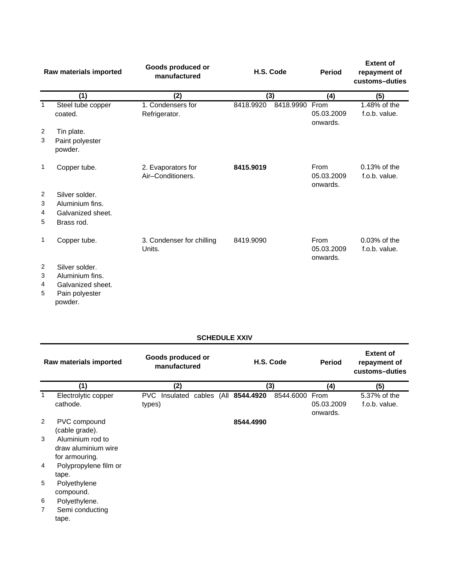|                  | Goods produced or<br>H.S. Code<br>Raw materials imported<br>manufactured            |                                         | Period    | <b>Extent of</b><br>repayment of<br>customs-duties |                                |                                  |
|------------------|-------------------------------------------------------------------------------------|-----------------------------------------|-----------|----------------------------------------------------|--------------------------------|----------------------------------|
|                  | (1)                                                                                 | (2)                                     | (3)       |                                                    | (4)                            | (5)                              |
| 1                | Steel tube copper<br>coated.                                                        | 1. Condensers for<br>Refrigerator.      | 8418.9920 | 8418.9990                                          | From<br>05.03.2009<br>onwards. | 1.48% of the<br>f.o.b. value.    |
| $\overline{2}$   | Tin plate.                                                                          |                                         |           |                                                    |                                |                                  |
| 3                | Paint polyester<br>powder.                                                          |                                         |           |                                                    |                                |                                  |
| 1                | Copper tube.                                                                        | 2. Evaporators for<br>Air-Conditioners. | 8415.9019 |                                                    | From<br>05.03.2009<br>onwards. | $0.13%$ of the<br>f.o.b. value.  |
| 2                | Silver solder.                                                                      |                                         |           |                                                    |                                |                                  |
| 3                | Aluminium fins.                                                                     |                                         |           |                                                    |                                |                                  |
| 4                | Galvanized sheet.                                                                   |                                         |           |                                                    |                                |                                  |
| 5                | Brass rod.                                                                          |                                         |           |                                                    |                                |                                  |
| 1                | Copper tube.                                                                        | 3. Condenser for chilling<br>Units.     | 8419.9090 |                                                    | From<br>05.03.2009<br>onwards. | $0.03\%$ of the<br>f.o.b. value. |
| 2<br>3<br>4<br>5 | Silver solder.<br>Aluminium fins.<br>Galvanized sheet.<br>Pain polyester<br>powder. |                                         |           |                                                    |                                |                                  |

# **SCHEDULE XXIV**

|   | Raw materials imported                                    | Goods produced or<br>manufactured |  | H.S. Code                       |           | <b>Period</b>                  | <b>Extent of</b><br>repayment of<br>customs-duties |
|---|-----------------------------------------------------------|-----------------------------------|--|---------------------------------|-----------|--------------------------------|----------------------------------------------------|
|   | (1)                                                       | (2)                               |  | (3)                             |           | (4)                            | (5)                                                |
|   | Electrolytic copper<br>cathode.                           | PVC.<br>types)                    |  | Insulated cables (All 8544.4920 | 8544.6000 | From<br>05.03.2009<br>onwards. | 5.37% of the<br>f.o.b. value.                      |
| 2 | PVC compound<br>(cable grade).                            |                                   |  | 8544.4990                       |           |                                |                                                    |
| 3 | Aluminium rod to<br>draw aluminium wire<br>for armouring. |                                   |  |                                 |           |                                |                                                    |
| 4 | Polypropylene film or<br>tape.                            |                                   |  |                                 |           |                                |                                                    |
| 5 | Polyethylene<br>compound.                                 |                                   |  |                                 |           |                                |                                                    |
| 6 | Polyethylene.                                             |                                   |  |                                 |           |                                |                                                    |
| 7 | Semi conducting                                           |                                   |  |                                 |           |                                |                                                    |
|   | tape.                                                     |                                   |  |                                 |           |                                |                                                    |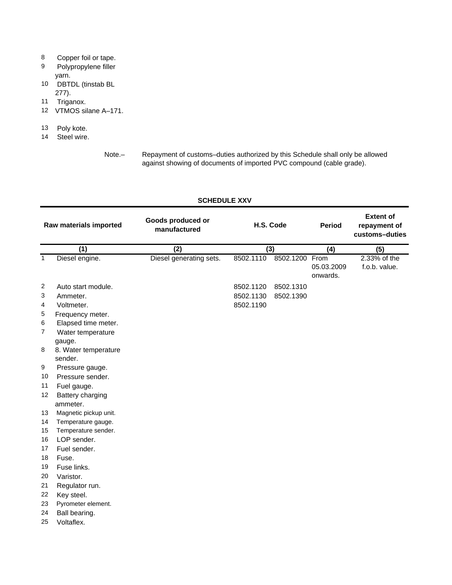# 8 Copper foil or tape.

- 9 Polypropylene filler yarn.
- 10 DBTDL (tinstab BL 277).
- 11 Triganox.
- 12 VTMOS silane A–171.
- 13 Poly kote.
- 14 Steel wire.

Note.– Repayment of customs–duties authorized by this Schedule shall only be allowed against showing of documents of imported PVC compound (cable grade).

#### **SCHEDULE XXV**

| Raw materials imported |                                         | Goods produced or<br>manufactured |           | H.S. Code      | <b>Period</b>          | <b>Extent of</b><br>repayment of<br>customs-duties |
|------------------------|-----------------------------------------|-----------------------------------|-----------|----------------|------------------------|----------------------------------------------------|
|                        | (1)                                     | (2)                               |           | (3)            |                        | (5)                                                |
| $\mathbf{1}$           | Diesel engine.                          | Diesel generating sets.           | 8502.1110 | 8502.1200 From | 05.03.2009<br>onwards. | 2.33% of the<br>f.o.b. value.                      |
| $\overline{2}$         | Auto start module.                      |                                   | 8502.1120 | 8502.1310      |                        |                                                    |
| 3                      | Ammeter.                                |                                   | 8502.1130 | 8502.1390      |                        |                                                    |
| 4                      | Voltmeter.                              |                                   | 8502.1190 |                |                        |                                                    |
| 5<br>6                 | Frequency meter.<br>Elapsed time meter. |                                   |           |                |                        |                                                    |
| 7                      | Water temperature<br>gauge.             |                                   |           |                |                        |                                                    |
| 8                      | 8. Water temperature<br>sender.         |                                   |           |                |                        |                                                    |
| 9                      | Pressure gauge.                         |                                   |           |                |                        |                                                    |
| 10                     | Pressure sender.                        |                                   |           |                |                        |                                                    |
| 11                     | Fuel gauge.                             |                                   |           |                |                        |                                                    |
| 12                     | Battery charging                        |                                   |           |                |                        |                                                    |
|                        | ammeter.                                |                                   |           |                |                        |                                                    |
| 13                     | Magnetic pickup unit.                   |                                   |           |                |                        |                                                    |
| 14                     | Temperature gauge.                      |                                   |           |                |                        |                                                    |
| 15                     | Temperature sender.                     |                                   |           |                |                        |                                                    |
| 16                     | LOP sender.                             |                                   |           |                |                        |                                                    |
| 17                     | Fuel sender.                            |                                   |           |                |                        |                                                    |
| 18                     | Fuse.                                   |                                   |           |                |                        |                                                    |
| 19                     | Fuse links.                             |                                   |           |                |                        |                                                    |
| 20                     | Varistor.                               |                                   |           |                |                        |                                                    |
| 21                     | Regulator run.                          |                                   |           |                |                        |                                                    |
| 22                     | Key steel.                              |                                   |           |                |                        |                                                    |
| 23                     | Pyrometer element.                      |                                   |           |                |                        |                                                    |
| 24                     | Ball bearing.                           |                                   |           |                |                        |                                                    |
| 25                     | Voltaflex.                              |                                   |           |                |                        |                                                    |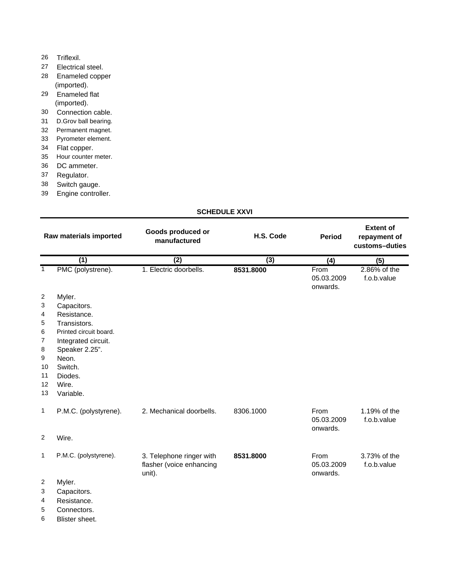# 26 Triflexil.

- 27 Electrical steel.
- 28 Enameled copper (imported).
- 29 Enameled flat (imported).
- 30 Connection cable.
- 31 D.Grov ball bearing.
- 32 Permanent magnet.
- 33 Pyrometer element.
- 34 Flat copper.
- 35 Hour counter meter.
- 36 DC ammeter.
- 37 Regulator.
- 38 Switch gauge.
- 39 Engine controller.

# **SCHEDULE XXVI**

| Raw materials imported                                       |                                                                                                                                                                                                                                                                                                                                                                                                                           | Goods produced or<br>manufactured                              | H.S. Code        | <b>Period</b>                  | <b>Extent of</b><br>repayment of<br>customs-duties |
|--------------------------------------------------------------|---------------------------------------------------------------------------------------------------------------------------------------------------------------------------------------------------------------------------------------------------------------------------------------------------------------------------------------------------------------------------------------------------------------------------|----------------------------------------------------------------|------------------|--------------------------------|----------------------------------------------------|
|                                                              | $\overline{(1)}$                                                                                                                                                                                                                                                                                                                                                                                                          | (2)                                                            | $\overline{(3)}$ | (4)                            | (5)                                                |
| $\mathbf{1}$                                                 | PMC (polystrene).                                                                                                                                                                                                                                                                                                                                                                                                         | 1. Electric doorbells.                                         | 8531.8000        | From<br>05.03.2009<br>onwards. | 2.86% of the<br>f.o.b.value                        |
| 2<br>3<br>4<br>5<br>6<br>7<br>8<br>9<br>10<br>11<br>12<br>13 | Myler.<br>Capacitors.<br>Resistance.<br>Transistors.<br>Printed circuit board.<br>Integrated circuit.<br>Speaker 2.25".<br>Neon.<br>Switch.<br>Diodes.<br>Wire.<br>Variable.                                                                                                                                                                                                                                              |                                                                |                  |                                |                                                    |
| 1                                                            | P.M.C. (polystyrene).                                                                                                                                                                                                                                                                                                                                                                                                     | 2. Mechanical doorbells.                                       | 8306.1000        | From<br>05.03.2009<br>onwards. | 1.19% of the<br>f.o.b.value                        |
| $\overline{2}$                                               | Wire.                                                                                                                                                                                                                                                                                                                                                                                                                     |                                                                |                  |                                |                                                    |
| 1                                                            | P.M.C. (polystyrene).                                                                                                                                                                                                                                                                                                                                                                                                     | 3. Telephone ringer with<br>flasher (voice enhancing<br>unit). | 8531.8000        | From<br>05.03.2009<br>onwards. | 3.73% of the<br>f.o.b.value                        |
| 2<br>3<br>4<br>$\mathbf{r}$                                  | Myler.<br>Capacitors.<br>Resistance.<br>$\bigcap$ $\bigcap$ $\bigcap$ $\bigcap$ $\bigcap$ $\bigcap$ $\bigcap$ $\bigcap$ $\bigcap$ $\bigcap$ $\bigcap$ $\bigcap$ $\bigcap$ $\bigcap$ $\bigcap$ $\bigcap$ $\bigcap$ $\bigcap$ $\bigcap$ $\bigcap$ $\bigcap$ $\bigcap$ $\bigcap$ $\bigcap$ $\bigcap$ $\bigcap$ $\bigcap$ $\bigcap$ $\bigcap$ $\bigcap$ $\bigcap$ $\bigcap$ $\bigcap$ $\bigcap$ $\bigcap$ $\bigcap$ $\bigcap$ |                                                                |                  |                                |                                                    |

5 Connectors. 6 Blister sheet.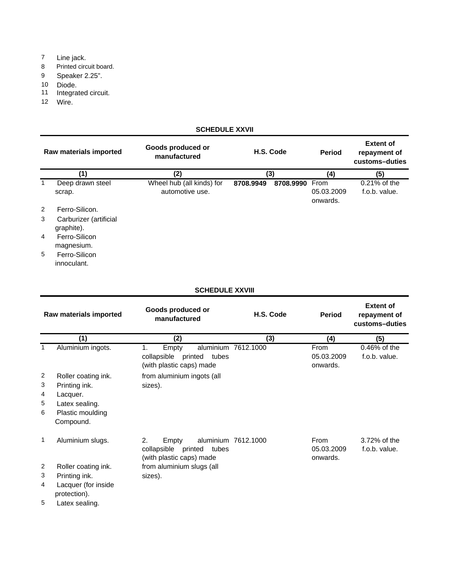- 7 Line jack.
- 8 Printed circuit board.
- 9 Speaker 2.25".
- 10 Diode.
- 11 Integrated circuit.
- 12 Wire.

### **SCHEDULE XXVII**

|   | Goods produced or<br>H.S. Code<br>Raw materials imported<br>manufactured |                                              | <b>Period</b> | <b>Extent of</b><br>repayment of<br>customs-duties |                                |                                  |
|---|--------------------------------------------------------------------------|----------------------------------------------|---------------|----------------------------------------------------|--------------------------------|----------------------------------|
|   | (1)                                                                      | (2)                                          | (3)           |                                                    | (4)                            | (5)                              |
| 1 | Deep drawn steel<br>scrap.                                               | Wheel hub (all kinds) for<br>automotive use. | 8708.9949     | 8708.9990                                          | From<br>05.03.2009<br>onwards. | $0.21\%$ of the<br>f.o.b. value. |
| 2 | Ferro-Silicon.                                                           |                                              |               |                                                    |                                |                                  |
| 3 | Carburizer (artificial<br>graphite).                                     |                                              |               |                                                    |                                |                                  |
| 4 | Ferro-Silicon<br>magnesium.                                              |                                              |               |                                                    |                                |                                  |
| 5 | Ferro-Silicon<br>innoculant.                                             |                                              |               |                                                    |                                |                                  |
|   |                                                                          | <b>SCHEDULE XXVIII</b>                       |               |                                                    |                                |                                  |
|   | Raw materials imported                                                   | Goods produced or                            |               | H.S. Code                                          | <b>Period</b>                  | <b>Extent of</b><br>renavment of |

|                                  | Raw materials imported                                                                                            | manufactured                                                                                                       | H.S. Code           | Period                         | repayment of<br>customs-duties |
|----------------------------------|-------------------------------------------------------------------------------------------------------------------|--------------------------------------------------------------------------------------------------------------------|---------------------|--------------------------------|--------------------------------|
|                                  | (1)                                                                                                               | (2)                                                                                                                | (3)                 | (4)                            | (5)                            |
|                                  | Aluminium ingots.                                                                                                 | Empty<br>1.<br>collapsible<br>printed<br>tubes<br>(with plastic caps) made                                         | aluminium 7612.1000 | From<br>05.03.2009<br>onwards. | 0.46% of the<br>f.o.b. value.  |
| 2<br>3<br>4<br>5<br>6            | Roller coating ink.<br>Printing ink.<br>Lacquer.<br>Latex sealing.<br>Plastic moulding<br>Compound.               | from aluminium ingots (all<br>sizes).                                                                              |                     |                                |                                |
| $\mathbf{1}$<br>2<br>3<br>4<br>5 | Aluminium slugs.<br>Roller coating ink.<br>Printing ink.<br>Lacquer (for inside<br>protection).<br>Latex sealing. | 2.<br>Empty<br>printed<br>collapsible<br>tubes<br>(with plastic caps) made<br>from aluminium slugs (all<br>sizes). | aluminium 7612.1000 | From<br>05.03.2009<br>onwards. | 3.72% of the<br>f.o.b. value.  |
|                                  |                                                                                                                   |                                                                                                                    |                     |                                |                                |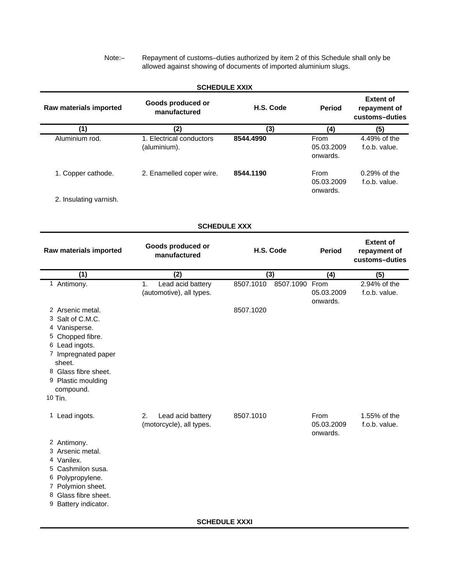Note:– Repayment of customs–duties authorized by item 2 of this Schedule shall only be allowed against showing of documents of imported aluminium slugs.

|                                                                                                                                                             | <b>SCHEDULE XXIX</b>                                |                                          |                                |                                                    |
|-------------------------------------------------------------------------------------------------------------------------------------------------------------|-----------------------------------------------------|------------------------------------------|--------------------------------|----------------------------------------------------|
| Raw materials imported                                                                                                                                      | Goods produced or<br>manufactured                   | H.S. Code                                | <b>Period</b>                  | <b>Extent of</b><br>repayment of<br>customs-duties |
| (1)                                                                                                                                                         | (2)                                                 | (3)                                      | (4)                            | (5)                                                |
| Aluminium rod.                                                                                                                                              | 1. Electrical conductors<br>(aluminium).            | 8544.4990                                | From<br>05.03.2009<br>onwards. | 4.49% of the<br>f.o.b. value.                      |
| 1. Copper cathode.                                                                                                                                          | 2. Enamelled coper wire.                            | 8544.1190                                | From<br>05.03.2009<br>onwards. | 0.29% of the<br>f.o.b. value.                      |
| 2. Insulating varnish.                                                                                                                                      |                                                     |                                          |                                |                                                    |
|                                                                                                                                                             | <b>SCHEDULE XXX</b>                                 |                                          |                                |                                                    |
| Raw materials imported                                                                                                                                      | Goods produced or<br>manufactured                   | H.S. Code                                | <b>Period</b>                  | <b>Extent of</b><br>repayment of<br>customs-duties |
| (1)                                                                                                                                                         | (2)                                                 | (3)                                      | (4)                            | (5)                                                |
| 1 Antimony.<br>2 Arsenic metal.<br>3 Salt of C.M.C.<br>4 Vanisperse.<br>5 Chopped fibre.<br>6 Lead ingots.<br>7 Impregnated paper<br>sheet.                 | Lead acid battery<br>1.<br>(automotive), all types. | 8507.1090 From<br>8507.1010<br>8507.1020 | 05.03.2009<br>onwards.         | 2.94% of the<br>f.o.b. value.                      |
| 8 Glass fibre sheet.<br>9 Plastic moulding<br>compound.<br>10 Tin.                                                                                          |                                                     |                                          |                                |                                                    |
| 1 Lead ingots.                                                                                                                                              | Lead acid battery<br>(motorcycle), all types.       | 8507.1010                                | From<br>05.03.2009<br>onwards. | 1.55% of the<br>f.o.b. value.                      |
| 2 Antimony.<br>3 Arsenic metal.<br>4 Vanilex.<br>5 Cashmilon susa.<br>6 Polypropylene.<br>7 Polymion sheet.<br>8 Glass fibre sheet.<br>9 Battery indicator. |                                                     |                                          |                                |                                                    |
|                                                                                                                                                             |                                                     |                                          |                                |                                                    |

**SCHEDULE XXXI**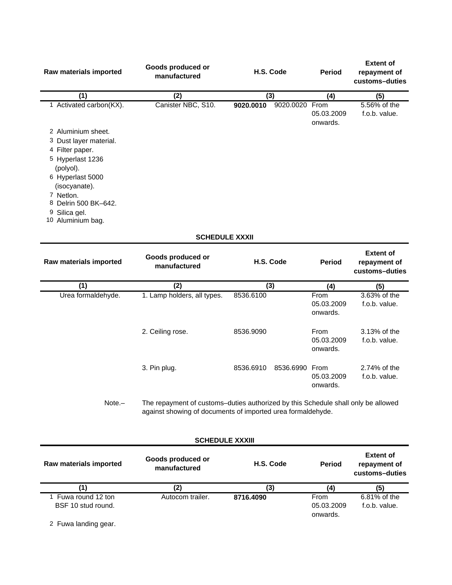| Raw materials imported                | Goods produced or<br>manufactured | H.S. Code | <b>Period</b>                               | <b>Extent of</b><br>repayment of<br>customs-duties |
|---------------------------------------|-----------------------------------|-----------|---------------------------------------------|----------------------------------------------------|
| (1)                                   | (2)                               | (3)       | (4)                                         | (5)                                                |
| 1 Activated carbon(KX).               | Canister NBC, S10.                | 9020.0010 | 9020.0020<br>From<br>05.03.2009<br>onwards. | 5.56% of the<br>f.o.b. value.                      |
| 2 Aluminium sheet.                    |                                   |           |                                             |                                                    |
| 3 Dust layer material.                |                                   |           |                                             |                                                    |
| 4 Filter paper.                       |                                   |           |                                             |                                                    |
| 5 Hyperlast 1236<br>(polyol).         |                                   |           |                                             |                                                    |
| 6 Hyperlast 5000<br>(isocyanate).     |                                   |           |                                             |                                                    |
| 7 Netlon.                             |                                   |           |                                             |                                                    |
| 8 Delrin 500 BK-642.                  |                                   |           |                                             |                                                    |
| Silica gel.<br>9<br>10 Aluminium bag. |                                   |           |                                             |                                                    |
|                                       | <b>SCHEDULE XXXII</b>             |           |                                             |                                                    |

| Raw materials imported | Goods produced or<br>manufactured | H.S. Code                   | <b>Period</b>                  | <b>Extent of</b><br>repayment of<br>customs-duties |
|------------------------|-----------------------------------|-----------------------------|--------------------------------|----------------------------------------------------|
| (1)                    | (2)                               | (3)                         | (4)                            | (5)                                                |
| Urea formaldehyde.     | 1. Lamp holders, all types.       | 8536.6100                   | From<br>05.03.2009<br>onwards. | 3.63% of the<br>f.o.b. value.                      |
|                        | 2. Ceiling rose.                  | 8536.9090                   | From<br>05.03.2009<br>onwards. | 3.13% of the<br>f.o.b. value.                      |
|                        | 3. Pin plug.                      | 8536.6910<br>8536.6990 From | 05.03.2009<br>onwards.         | 2.74% of the<br>f.o.b. value.                      |
|                        |                                   | .                           |                                |                                                    |

Note.– The repayment of customs–duties authorized by this Schedule shall only be allowed against showing of documents of imported urea formaldehyde.

# **SCHEDULE XXXIII**

| Raw materials imported                  | Goods produced or<br>manufactured | H.S. Code | <b>Period</b>                  | <b>Extent of</b><br>repayment of<br>customs-duties |
|-----------------------------------------|-----------------------------------|-----------|--------------------------------|----------------------------------------------------|
| (1)                                     | (2)                               | (3)       | (4                             | (5)                                                |
| Fuwa round 12 ton<br>BSF 10 stud round. | Autocom trailer.                  | 8716.4090 | From<br>05.03.2009<br>onwards. | 6.81% of the<br>f.o.b. value.                      |

2 Fuwa landing gear.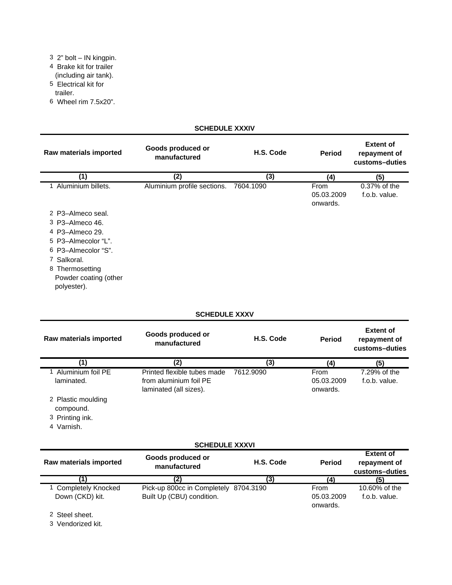- 3 2" bolt IN kingpin.
- 4 Brake kit for trailer
- (including air tank).
- 5 Electrical kit for trailer.
- 6 Wheel rim 7.5x20".

# **SCHEDULE XXXIV**

| Raw materials imported                                  | Goods produced or<br>manufactured | H.S. Code | <b>Period</b>                  | <b>Extent of</b><br>repayment of<br>customs-duties |
|---------------------------------------------------------|-----------------------------------|-----------|--------------------------------|----------------------------------------------------|
| (1)                                                     | (2)                               | (3)       | (4)                            | (5)                                                |
| 1 Aluminium billets.                                    | Aluminium profile sections.       | 7604.1090 | From<br>05.03.2009<br>onwards. | 0.37% of the<br>f.o.b. value.                      |
| 2 P3-Almeco seal.                                       |                                   |           |                                |                                                    |
| 3 P3-Almeco 46.                                         |                                   |           |                                |                                                    |
| 4 P3-Almeco 29.                                         |                                   |           |                                |                                                    |
| 5 P3-Almecolor "L".                                     |                                   |           |                                |                                                    |
| 6 P3-Almecolor "S".                                     |                                   |           |                                |                                                    |
| 7 Salkoral.                                             |                                   |           |                                |                                                    |
| 8 Thermosetting<br>Powder coating (other<br>polyester). |                                   |           |                                |                                                    |

### **SCHEDULE XXXV**

| Raw materials imported          | Goods produced or<br>manufactured                                               | H.S. Code | <b>Period</b>                  | <b>Extent of</b><br>repayment of<br>customs-duties |
|---------------------------------|---------------------------------------------------------------------------------|-----------|--------------------------------|----------------------------------------------------|
| (1)                             | (2)                                                                             | (3)       | (4)                            | (5)                                                |
| Aluminium foil PE<br>laminated. | Printed flexible tubes made<br>from aluminium foil PE<br>laminated (all sizes). | 7612.9090 | From<br>05.03.2009<br>onwards. | 7.29% of the<br>f.o.b. value.                      |
| 2 Plastic moulding<br>compound. |                                                                                 |           |                                |                                                    |
| 3 Printing ink.                 |                                                                                 |           |                                |                                                    |
| 4 Varnish.                      |                                                                                 |           |                                |                                                    |
|                                 | <b>SCHEDULE XXXVI</b>                                                           |           |                                |                                                    |
| Raw materials imported          | Goods produced or<br>manufactured                                               | H.S. Code | <b>Period</b>                  | <b>Extent of</b><br>repayment of<br>customs-duties |
| (1)                             | (2)                                                                             | (3)       | (4)                            | (5)                                                |
| <b>Completely Knocked</b>       | Pick-up 800cc in Completely                                                     | 8704.3190 | From                           | 10.60% of the                                      |

05.03.2009 onwards.

f.o.b. value.

Built Up (CBU) condition.

Down (CKD) kit.

2 Steel sheet.

3 Vendorized kit.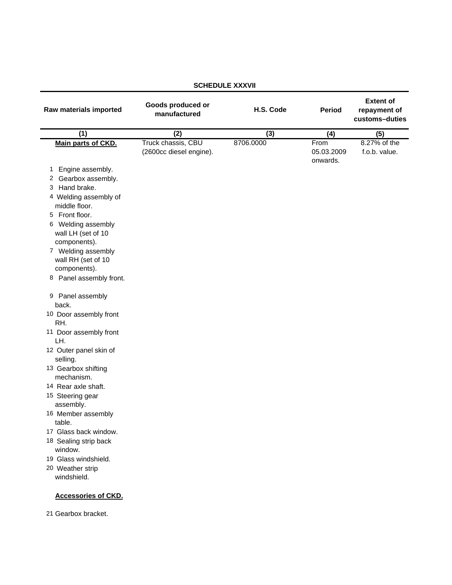| Raw materials imported                                                                                                                                                                                                                                                                                                                                                                                                                                                                                                                                                                                         | Goods produced or<br>manufactured             | H.S. Code | <b>Period</b>                  | <b>Extent of</b><br>repayment of<br>customs-duties |
|----------------------------------------------------------------------------------------------------------------------------------------------------------------------------------------------------------------------------------------------------------------------------------------------------------------------------------------------------------------------------------------------------------------------------------------------------------------------------------------------------------------------------------------------------------------------------------------------------------------|-----------------------------------------------|-----------|--------------------------------|----------------------------------------------------|
| $\overline{(1)}$                                                                                                                                                                                                                                                                                                                                                                                                                                                                                                                                                                                               | (2)                                           | (3)       | (4)                            | (5)                                                |
| Main parts of CKD.                                                                                                                                                                                                                                                                                                                                                                                                                                                                                                                                                                                             | Truck chassis, CBU<br>(2600cc diesel engine). | 8706.0000 | From<br>05.03.2009<br>onwards. | 8.27% of the<br>f.o.b. value.                      |
| Engine assembly.<br>1<br>Gearbox assembly.<br>2<br>3 Hand brake.<br>4 Welding assembly of<br>middle floor.<br>5 Front floor.<br>6 Welding assembly<br>wall LH (set of 10<br>components).<br>7 Welding assembly<br>wall RH (set of 10<br>components).<br>8 Panel assembly front.<br>9 Panel assembly<br>back.<br>10 Door assembly front<br>RH.<br>11 Door assembly front<br>LH.<br>12 Outer panel skin of<br>selling.<br>13 Gearbox shifting<br>mechanism.<br>14 Rear axle shaft.<br>15 Steering gear<br>assembly.<br>16 Member assembly<br>table.<br>17 Glass back window.<br>18 Sealing strip back<br>window. |                                               |           |                                |                                                    |
| 19 Glass windshield.<br>20 Weather strip<br>windshield.<br><b>Accessories of CKD.</b>                                                                                                                                                                                                                                                                                                                                                                                                                                                                                                                          |                                               |           |                                |                                                    |
|                                                                                                                                                                                                                                                                                                                                                                                                                                                                                                                                                                                                                |                                               |           |                                |                                                    |

### **SCHEDULE XXXVII**

21 Gearbox bracket.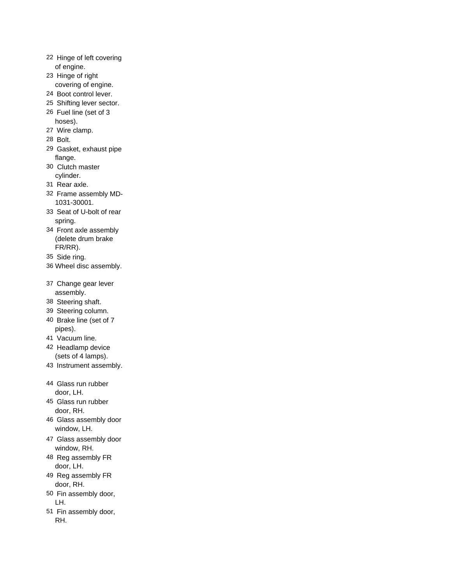- 22 Hinge of left covering of engine.
- 23 Hinge of right covering of engine.
- 24 Boot control lever.
- 25 Shifting lever sector.
- 26 Fuel line (set of 3 hoses).
- 27 Wire clamp.
- 28 Bolt.
- 29 Gasket, exhaust pipe flange.
- 30 Clutch master cylinder.
- 31 Rear axle.
- 32 Frame assembly MD-1031-30001.
- 33 Seat of U-bolt of rear spring.
- 34 Front axle assembly (delete drum brake FR/RR).
- 35 Side ring.
- 36 Wheel disc assembly.
- 37 Change gear lever assembly.
- 38 Steering shaft.
- 39 Steering column.
- 40 Brake line (set of 7 pipes).
- 41 Vacuum line.
- 42 Headlamp device (sets of 4 lamps).
- 43 Instrument assembly.
- 44 Glass run rubber door, LH.
- 45 Glass run rubber door, RH.
- 46 Glass assembly door window, LH.
- 47 Glass assembly door window, RH.
- 48 Reg assembly FR door, LH.
- 49 Reg assembly FR door, RH.
- 50 Fin assembly door, LH.
- 51 Fin assembly door, RH.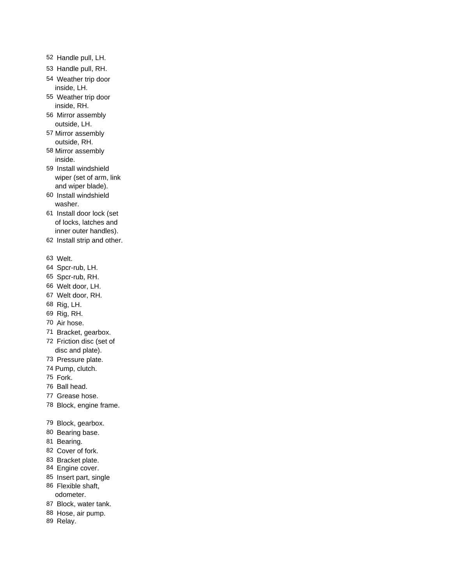- Handle pull, LH.
- Handle pull, RH.
- Weather trip door inside, LH.
- Weather trip door inside, RH.
- Mirror assembly outside, LH.
- Mirror assembly outside, RH.
- Mirror assembly inside.
- Install windshield wiper (set of arm, link and wiper blade).
- Install windshield washer.
- Install door lock (set of locks, latches and inner outer handles).
- Install strip and other.
- Welt.
- Spcr-rub, LH.
- Spcr-rub, RH.
- Welt door, LH.
- Welt door, RH.
- Rig, LH.
- Rig, RH.
- Air hose.
- Bracket, gearbox.
- Friction disc (set of disc and plate).
- Pressure plate.
- Pump, clutch.
- Fork.
- Ball head.
- Grease hose.
- Block, engine frame.
- Block, gearbox.
- Bearing base.
- Bearing.
- Cover of fork.
- Bracket plate.
- Engine cover.
- Insert part, single
- Flexible shaft, odometer.
- Block, water tank.
- Hose, air pump.
- Relay.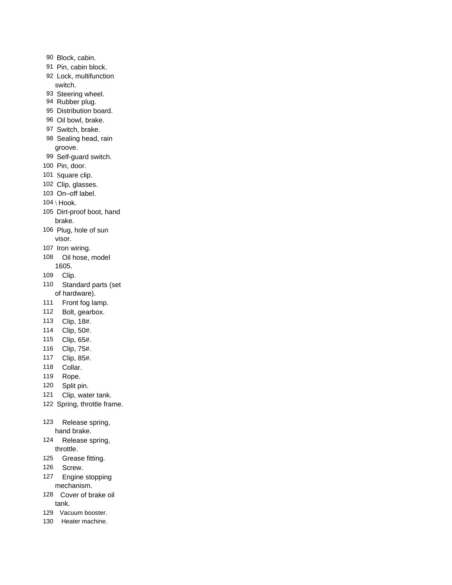- Block, cabin.
- Pin, cabin block.
- Lock, multifunction switch.
- Steering wheel.
- Rubber plug.
- Distribution board.
- Oil bowl, brake.
- Switch, brake.
- Sealing head, rain groove.
- Self-guard switch.
- Pin, door.
- Square clip.
- Clip, glasses.
- On–off label.
- \ Hook.
- Dirt-proof boot, hand brake.
- Plug, hole of sun visor.
- Iron wiring.
- Oil hose, model 1605.
- Clip.
- Standard parts (set of hardware).
- Front fog lamp.
- Bolt, gearbox.
- Clip, 18#.
- Clip, 50#.
- Clip, 65#.
- Clip, 75#.
- Clip, 85#.
- Collar.
- Rope.
- Split pin.
- Clip, water tank.
- Spring, throttle frame.
- Release spring, hand brake.
- Release spring, throttle.
- Grease fitting.
- Screw.
- Engine stopping mechanism.
- Cover of brake oil tank.
- Vacuum booster.
- Heater machine.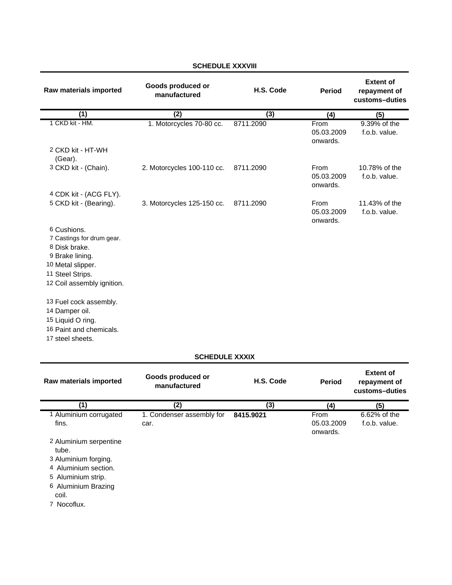| Raw materials imported                                        | Goods produced or<br>manufactured | H.S. Code | Period                                | <b>Extent of</b><br>repayment of<br>customs-duties |
|---------------------------------------------------------------|-----------------------------------|-----------|---------------------------------------|----------------------------------------------------|
| (1)                                                           | (2)                               | (3)       | (4)                                   | (5)                                                |
| 1 CKD kit - HM.                                               | 1. Motorcycles 70-80 cc.          | 8711.2090 | From<br>05.03.2009<br>onwards.        | 9.39% of the<br>f.o.b. value.                      |
| 2 CKD kit - HT-WH<br>(Gear).                                  |                                   |           |                                       |                                                    |
| 3 CKD kit - (Chain).                                          | 2. Motorcycles 100-110 cc.        | 8711.2090 | <b>From</b><br>05.03.2009<br>onwards. | 10.78% of the<br>f.o.b. value.                     |
| 4 CDK kit - (ACG FLY).                                        |                                   |           |                                       |                                                    |
| 5 CKD kit - (Bearing).                                        | 3. Motorcycles 125-150 cc.        | 8711.2090 | <b>From</b><br>05.03.2009<br>onwards. | 11.43% of the<br>f.o.b. value.                     |
| 6 Cushions.<br>7 Castings for drum gear.                      |                                   |           |                                       |                                                    |
| 8 Disk brake.<br>9 Brake lining.                              |                                   |           |                                       |                                                    |
| 10 Metal slipper.                                             |                                   |           |                                       |                                                    |
| 11 Steel Strips.<br>12 Coil assembly ignition.                |                                   |           |                                       |                                                    |
| 13 Fuel cock assembly.<br>14 Damper oil.<br>15 Liquid O ring. |                                   |           |                                       |                                                    |
| 16 Paint and chemicals.<br>17 steel sheets.                   |                                   |           |                                       |                                                    |

# **SCHEDULE XXXVIII**

#### **SCHEDULE XXXIX**

| Raw materials imported                                                                                                                                                                     | Goods produced or<br>manufactured | H.S. Code | <b>Period</b>                  | <b>Extent of</b><br>repayment of<br>customs-duties |
|--------------------------------------------------------------------------------------------------------------------------------------------------------------------------------------------|-----------------------------------|-----------|--------------------------------|----------------------------------------------------|
| (1)                                                                                                                                                                                        | (2)                               | (3)       | (4)                            | (5)                                                |
| 1 Aluminium corrugated<br>fins.<br>2 Aluminium serpentine<br>tube.<br>3 Aluminium forging.<br>4 Aluminium section.<br>5 Aluminium strip.<br>6 Aluminium Brazing<br>coil.<br>Nocoflux.<br>7 | 1. Condenser assembly for<br>car. | 8415.9021 | From<br>05.03.2009<br>onwards. | 6.62% of the<br>f.o.b. value.                      |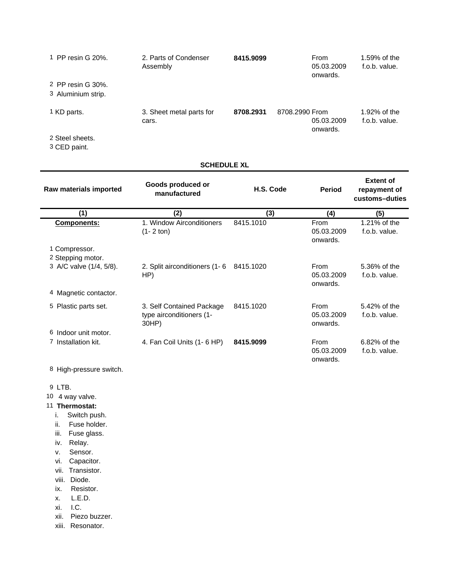| 2. Parts of Condenser<br>Assembly | 8415.9099 | <b>From</b><br>05.03.2009<br>onwards.    | 1.59% of the<br>f.o.b. value. |
|-----------------------------------|-----------|------------------------------------------|-------------------------------|
|                                   |           |                                          |                               |
| 3. Sheet metal parts for<br>cars. | 8708.2931 | 8708.2990 From<br>05.03.2009<br>onwards. | 1.92% of the<br>f.o.b. value. |
|                                   |           |                                          |                               |

2 Steel sheets.

3 CED paint.

### **SCHEDULE XL**

| Raw materials imported  | Goods produced or<br>manufactured                              | H.S. Code | <b>Period</b>                  | <b>Extent of</b><br>repayment of<br>customs-duties |
|-------------------------|----------------------------------------------------------------|-----------|--------------------------------|----------------------------------------------------|
| (1)                     | (2)                                                            | (3)       | (4)                            | (5)                                                |
| Components:             | 1. Window Airconditioners<br>$(1 - 2 \text{ ton})$             | 8415.1010 | From<br>05.03.2009<br>onwards. | 1.21% of the<br>f.o.b. value.                      |
| 1 Compressor.           |                                                                |           |                                |                                                    |
| 2 Stepping motor.       |                                                                |           |                                |                                                    |
| 3 A/C valve (1/4, 5/8). | 2. Split airconditioners (1-6)<br>HP)                          | 8415.1020 | From<br>05.03.2009<br>onwards. | 5.36% of the<br>f.o.b. value.                      |
| 4 Magnetic contactor.   |                                                                |           |                                |                                                    |
| 5<br>Plastic parts set. | 3. Self Contained Package<br>type airconditioners (1-<br>30HP) | 8415.1020 | From<br>05.03.2009<br>onwards. | 5.42% of the<br>f.o.b. value.                      |
| Indoor unit motor.<br>6 |                                                                |           |                                |                                                    |
| Installation kit.<br>7  | 4. Fan Coil Units (1- 6 HP)                                    | 8415.9099 | From<br>05.03.2009<br>onwards. | 6.82% of the<br>f.o.b. value.                      |

8 High-pressure switch.

- 9 LTB.
- 10 4 way valve.

### 11 **Thermostat:**

- i. Switch push.
- ii. Fuse holder.
- iii. Fuse glass.
- iv. Relay.
- v. Sensor.
- vi. Capacitor.
- vii. Transistor.
- viii. Diode.
- ix. Resistor.
- x. L.E.D.
- xi. I.C.
- xii. Piezo buzzer.
- xiii. Resonator.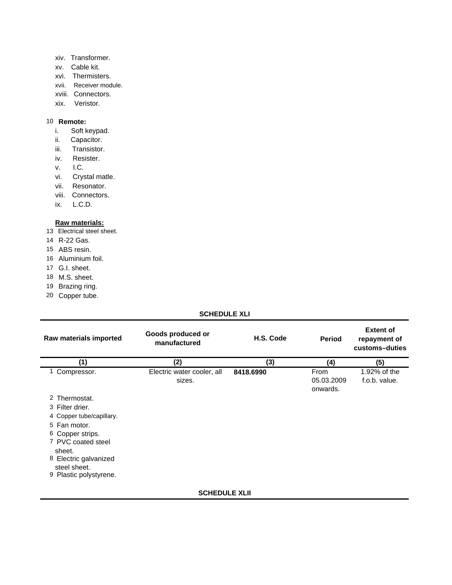- xiv. Transformer.
- xv. Cable kit.
- xvi. Thermisters.
- xvii. Receiver module.
- xviii. Connectors.
- xix. Veristor.

### 10 **Remote:**

- i. Soft keypad.
- ii. Capacitor.
- iii. Transistor.
- iv. Resister.
- v. I.C.
- vi. Crystal matle.
- vii. Resonator.
- viii. Connectors.
- ix. L.C.D.

#### **Raw materials:**

- 13 Electrical steel sheet.
- 14 R-22 Gas.
- 15 ABS resin.
- 16 Aluminium foil.
- 17 G.I. sheet.
- 18 M.S. sheet.
- 19 Brazing ring.
- 20 Copper tube.

## **SCHEDULE XLI**

| Raw materials imported                | Goods produced or<br>manufactured | H.S. Code | Period                 | <b>Extent of</b><br>repayment of<br>customs-duties |
|---------------------------------------|-----------------------------------|-----------|------------------------|----------------------------------------------------|
| (1)                                   | (2)                               | (3)       | (4)                    | (5)                                                |
| Compressor.                           | Electric water cooler, all        | 8418.6990 | From                   | 1.92% of the                                       |
|                                       | sizes.                            |           | 05.03.2009<br>onwards. | f.o.b. value.                                      |
| 2 Thermostat.                         |                                   |           |                        |                                                    |
| 3 Filter drier.                       |                                   |           |                        |                                                    |
| 4 Copper tube/capillary.              |                                   |           |                        |                                                    |
| 5 Fan motor.                          |                                   |           |                        |                                                    |
| 6 Copper strips.                      |                                   |           |                        |                                                    |
| 7 PVC coated steel<br>sheet.          |                                   |           |                        |                                                    |
| 8 Electric galvanized<br>steel sheet. |                                   |           |                        |                                                    |
| 9 Plastic polystyrene.                |                                   |           |                        |                                                    |
|                                       | <b>SCHEDULE XLII</b>              |           |                        |                                                    |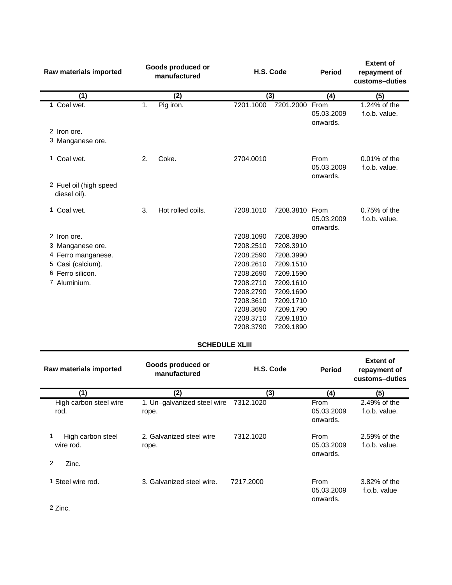| Raw materials imported                 |    | Goods produced or<br>manufactured |                        | H.S. Code              | <b>Period</b>                         | <b>Extent of</b><br>repayment of<br>customs-duties |
|----------------------------------------|----|-----------------------------------|------------------------|------------------------|---------------------------------------|----------------------------------------------------|
| (1)                                    |    | (2)                               | (3)                    |                        | (4)                                   | (5)                                                |
| 1 Coal wet.                            | 1. | Pig iron.                         | 7201.1000              | 7201.2000              | From<br>05.03.2009<br>onwards.        | $1.24\%$ of the<br>f.o.b. value.                   |
| 2 Iron ore.                            |    |                                   |                        |                        |                                       |                                                    |
| 3 Manganese ore.                       |    |                                   |                        |                        |                                       |                                                    |
| 1 Coal wet.                            | 2. | Coke.                             | 2704.0010              |                        | <b>From</b><br>05.03.2009<br>onwards. | $0.01\%$ of the<br>f.o.b. value.                   |
| 2 Fuel oil (high speed<br>diesel oil). |    |                                   |                        |                        |                                       |                                                    |
| 1 Coal wet.                            | 3. | Hot rolled coils.                 | 7208.1010              | 7208.3810              | From<br>05.03.2009<br>onwards.        | $0.75%$ of the<br>f.o.b. value.                    |
| 2 Iron ore.                            |    |                                   | 7208.1090              | 7208.3890              |                                       |                                                    |
| 3 Manganese ore.                       |    |                                   | 7208.2510              | 7208.3910              |                                       |                                                    |
| 4 Ferro manganese.                     |    |                                   | 7208.2590              | 7208.3990              |                                       |                                                    |
| 5 Casi (calcium).                      |    |                                   | 7208.2610              | 7209.1510              |                                       |                                                    |
| 6 Ferro silicon.                       |    |                                   | 7208.2690              | 7209.1590              |                                       |                                                    |
| 7 Aluminium.                           |    |                                   | 7208.2710              | 7209.1610              |                                       |                                                    |
|                                        |    |                                   | 7208.2790              | 7209.1690              |                                       |                                                    |
|                                        |    |                                   | 7208.3610              | 7209.1710              |                                       |                                                    |
|                                        |    |                                   | 7208.3690              | 7209.1790              |                                       |                                                    |
|                                        |    |                                   | 7208.3710<br>7208.3790 | 7209.1810<br>7209.1890 |                                       |                                                    |
|                                        |    |                                   |                        |                        |                                       |                                                    |

### **SCHEDULE XLIII**

| Raw materials imported                            | Goods produced or<br>manufactured    | H.S. Code | <b>Period</b>                  | <b>Extent of</b><br>repayment of<br>customs-duties |
|---------------------------------------------------|--------------------------------------|-----------|--------------------------------|----------------------------------------------------|
| (1)                                               | (2)                                  | (3)       | (4)                            | (5)                                                |
| High carbon steel wire<br>rod.                    | 1. Un-galvanized steel wire<br>rope. | 7312.1020 | From<br>05.03.2009<br>onwards. | 2.49% of the<br>f.o.b. value.                      |
| 1<br>High carbon steel<br>wire rod.<br>2<br>Zinc. | 2. Galvanized steel wire<br>rope.    | 7312.1020 | From<br>05.03.2009<br>onwards. | 2.59% of the<br>f.o.b. value.                      |
| 1 Steel wire rod.                                 | 3. Galvanized steel wire.            | 7217.2000 | From<br>05.03.2009<br>onwards. | 3.82% of the<br>f.o.b. value                       |

2 Zinc.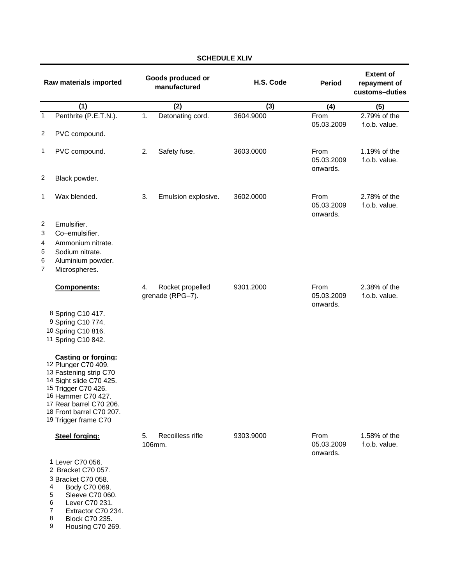|                            | Raw materials imported                                                                                                                                                                                                             |                  | Goods produced or<br>manufactured    | H.S. Code | <b>Period</b>                  | <b>Extent of</b><br>repayment of<br>customs-duties |
|----------------------------|------------------------------------------------------------------------------------------------------------------------------------------------------------------------------------------------------------------------------------|------------------|--------------------------------------|-----------|--------------------------------|----------------------------------------------------|
|                            | (1)                                                                                                                                                                                                                                |                  | $\overline{(2)}$                     | (3)       | (4)                            | (5)                                                |
| $\mathbf{1}$               | Penthrite (P.E.T.N.).                                                                                                                                                                                                              | $\overline{1}$ . | Detonating cord.                     | 3604.9000 | From<br>05.03.2009             | 2.79% of the<br>f.o.b. value.                      |
| $\overline{c}$             | PVC compound.                                                                                                                                                                                                                      |                  |                                      |           |                                |                                                    |
| 1                          | PVC compound.                                                                                                                                                                                                                      | 2.               | Safety fuse.                         | 3603.0000 | From<br>05.03.2009<br>onwards. | 1.19% of the<br>f.o.b. value.                      |
| 2                          | Black powder.                                                                                                                                                                                                                      |                  |                                      |           |                                |                                                    |
| 1                          | Wax blended.                                                                                                                                                                                                                       | 3.               | Emulsion explosive.                  | 3602.0000 | From<br>05.03.2009<br>onwards. | 2.78% of the<br>f.o.b. value.                      |
| 2<br>3<br>4<br>5<br>6<br>7 | Emulsifier.<br>Co-emulsifier.<br>Ammonium nitrate.<br>Sodium nitrate.<br>Aluminium powder.<br>Microspheres.                                                                                                                        |                  |                                      |           |                                |                                                    |
|                            | <b>Components:</b>                                                                                                                                                                                                                 | 4.               | Rocket propelled<br>grenade (RPG-7). | 9301.2000 | From<br>05.03.2009<br>onwards. | 2.38% of the<br>f.o.b. value.                      |
|                            | 8 Spring C10 417.<br>9 Spring C10 774.<br>10 Spring C10 816.<br>11 Spring C10 842.                                                                                                                                                 |                  |                                      |           |                                |                                                    |
|                            | <b>Casting or forging:</b><br>12 Plunger C70 409.<br>13 Fastening strip C70<br>14 Sight slide C70 425.<br>15 Trigger C70 426.<br>16 Hammer C70 427.<br>17 Rear barrel C70 206.<br>18 Front barrel C70 207.<br>19 Trigger frame C70 |                  |                                      |           |                                |                                                    |
|                            | Steel forging:                                                                                                                                                                                                                     | 5.               | Recoilless rifle<br>106mm.           | 9303.9000 | From<br>05.03.2009<br>onwards. | 1.58% of the<br>f.o.b. value.                      |
|                            | 1 Lever C70 056.<br>2 Bracket C70 057.<br>3 Bracket C70 058.<br>4<br>Body C70 069.<br>5<br>Sleeve C70 060.<br>6<br>Lever C70 231.<br>$\overline{7}$<br>Extractor C70 234.                                                          |                  |                                      |           |                                |                                                    |

Extractor C70 234.

8 Block C70 235.<br>9 Housing C70 26 Housing C70 269.

# **SCHEDULE XLIV**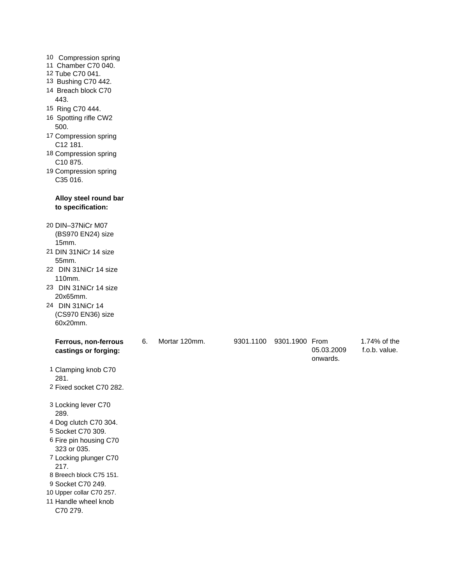| 110mm. |                                                                                                                                                                                                                                                                                                                                                                                                                                                                                                                                                                                                                                                                                                                                                                                                                                                                                                                |    |               |           |          |                               |
|--------|----------------------------------------------------------------------------------------------------------------------------------------------------------------------------------------------------------------------------------------------------------------------------------------------------------------------------------------------------------------------------------------------------------------------------------------------------------------------------------------------------------------------------------------------------------------------------------------------------------------------------------------------------------------------------------------------------------------------------------------------------------------------------------------------------------------------------------------------------------------------------------------------------------------|----|---------------|-----------|----------|-------------------------------|
|        |                                                                                                                                                                                                                                                                                                                                                                                                                                                                                                                                                                                                                                                                                                                                                                                                                                                                                                                |    |               |           |          |                               |
|        |                                                                                                                                                                                                                                                                                                                                                                                                                                                                                                                                                                                                                                                                                                                                                                                                                                                                                                                |    |               |           |          |                               |
|        |                                                                                                                                                                                                                                                                                                                                                                                                                                                                                                                                                                                                                                                                                                                                                                                                                                                                                                                |    |               |           |          |                               |
|        |                                                                                                                                                                                                                                                                                                                                                                                                                                                                                                                                                                                                                                                                                                                                                                                                                                                                                                                |    |               |           |          |                               |
|        |                                                                                                                                                                                                                                                                                                                                                                                                                                                                                                                                                                                                                                                                                                                                                                                                                                                                                                                |    |               |           |          |                               |
|        |                                                                                                                                                                                                                                                                                                                                                                                                                                                                                                                                                                                                                                                                                                                                                                                                                                                                                                                |    |               |           |          | 1.74% of the<br>f.o.b. value. |
|        |                                                                                                                                                                                                                                                                                                                                                                                                                                                                                                                                                                                                                                                                                                                                                                                                                                                                                                                |    |               |           | onwards. |                               |
|        |                                                                                                                                                                                                                                                                                                                                                                                                                                                                                                                                                                                                                                                                                                                                                                                                                                                                                                                |    |               |           |          |                               |
| 281.   |                                                                                                                                                                                                                                                                                                                                                                                                                                                                                                                                                                                                                                                                                                                                                                                                                                                                                                                |    |               |           |          |                               |
|        |                                                                                                                                                                                                                                                                                                                                                                                                                                                                                                                                                                                                                                                                                                                                                                                                                                                                                                                |    |               |           |          |                               |
|        |                                                                                                                                                                                                                                                                                                                                                                                                                                                                                                                                                                                                                                                                                                                                                                                                                                                                                                                |    |               |           |          |                               |
|        |                                                                                                                                                                                                                                                                                                                                                                                                                                                                                                                                                                                                                                                                                                                                                                                                                                                                                                                |    |               |           |          |                               |
|        |                                                                                                                                                                                                                                                                                                                                                                                                                                                                                                                                                                                                                                                                                                                                                                                                                                                                                                                |    |               |           |          |                               |
|        |                                                                                                                                                                                                                                                                                                                                                                                                                                                                                                                                                                                                                                                                                                                                                                                                                                                                                                                |    |               |           |          |                               |
|        |                                                                                                                                                                                                                                                                                                                                                                                                                                                                                                                                                                                                                                                                                                                                                                                                                                                                                                                |    |               |           |          |                               |
|        |                                                                                                                                                                                                                                                                                                                                                                                                                                                                                                                                                                                                                                                                                                                                                                                                                                                                                                                |    |               |           |          |                               |
|        |                                                                                                                                                                                                                                                                                                                                                                                                                                                                                                                                                                                                                                                                                                                                                                                                                                                                                                                |    |               |           |          |                               |
|        |                                                                                                                                                                                                                                                                                                                                                                                                                                                                                                                                                                                                                                                                                                                                                                                                                                                                                                                |    |               |           |          |                               |
|        |                                                                                                                                                                                                                                                                                                                                                                                                                                                                                                                                                                                                                                                                                                                                                                                                                                                                                                                |    |               |           |          |                               |
|        |                                                                                                                                                                                                                                                                                                                                                                                                                                                                                                                                                                                                                                                                                                                                                                                                                                                                                                                |    |               |           |          |                               |
|        | 10 Compression spring<br>11 Chamber C70 040.<br>12 Tube C70 041.<br>13 Bushing C70 442.<br>14 Breach block C70<br>443.<br>15 Ring C70 444.<br>16 Spotting rifle CW2<br>500.<br>17 Compression spring<br>C12 181.<br>18 Compression spring<br>C10 875.<br>19 Compression spring<br>C35 016.<br>Alloy steel round bar<br>to specification:<br>20 DIN-37NiCr M07<br>(BS970 EN24) size<br>15mm.<br>21 DIN 31 NiCr 14 size<br>55mm.<br>22 DIN 31NiCr 14 size<br>23 DIN 31NiCr 14 size<br>20x65mm.<br>24 DIN 31NiCr 14<br>(CS970 EN36) size<br>60x20mm.<br>Ferrous, non-ferrous<br>castings or forging:<br>1 Clamping knob C70<br>2 Fixed socket C70 282.<br>3 Locking lever C70<br>289.<br>4 Dog clutch C70 304.<br>5 Socket C70 309.<br>6 Fire pin housing C70<br>323 or 035.<br>7 Locking plunger C70<br>217.<br>8 Breech block C75 151.<br>9 Socket C70 249.<br>10 Upper collar C70 257.<br>11 Handle wheel knob | 6. | Mortar 120mm. | 9301.1100 |          | 9301.1900 From<br>05.03.2009  |

C70 279.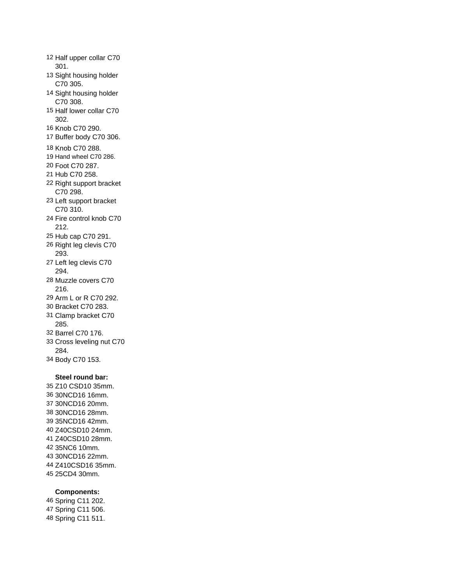Half upper collar C70 301. Sight housing holder C70 305. Sight housing holder C70 308. Half lower collar C70 302. Knob C70 290. Buffer body C70 306. Knob C70 288. 19 Hand wheel C70 286. Foot C70 287. Hub C70 258. Right support bracket C70 298. Left support bracket C70 310. Fire control knob C70 212. Hub cap C70 291. Right leg clevis C70 293. Left leg clevis C70 294. Muzzle covers C70 216. Arm L or R C70 292. Bracket C70 283. Clamp bracket C70 285.

- Barrel C70 176.
- Cross leveling nut C70 284.
- Body C70 153.

# **Steel round bar:**

 Z10 CSD10 35mm. 30NCD16 16mm. 30NCD16 20mm. 30NCD16 28mm. 35NCD16 42mm. Z40CSD10 24mm. Z40CSD10 28mm. 35NC6 10mm. 30NCD16 22mm. Z410CSD16 35mm. 25CD4 30mm.

### **Components:**

 Spring C11 202. Spring C11 506. Spring C11 511.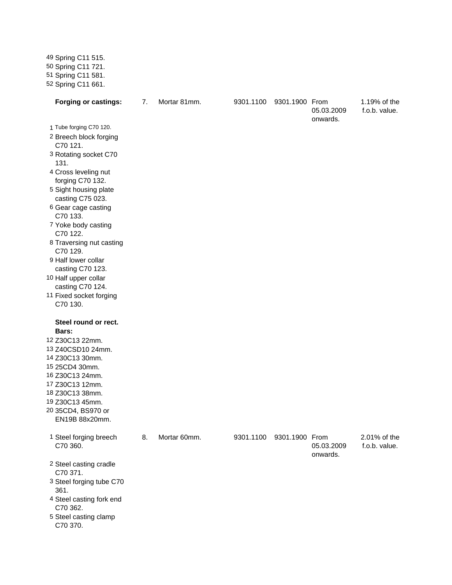Spring C11 515. Spring C11 721. Spring C11 581. Spring C11 661.

5 Steel casting clamp

C70 370.

| <b>Forging or castings:</b>                                                                                                                                                                                                                                                                           | 7. | Mortar 81mm. | 9301.1100 | 9301.1900 From | 05.03.2009             | 1.19% of the<br>f.o.b. value. |
|-------------------------------------------------------------------------------------------------------------------------------------------------------------------------------------------------------------------------------------------------------------------------------------------------------|----|--------------|-----------|----------------|------------------------|-------------------------------|
| 1 Tube forging C70 120.<br>2 Breech block forging<br>C70 121.<br>3 Rotating socket C70<br>131.<br>4 Cross leveling nut<br>forging C70 132.<br>5 Sight housing plate<br>casting C75 023.<br>6 Gear cage casting<br>C70 133.<br>7 Yoke body casting<br>C70 122.<br>8 Traversing nut casting<br>C70 129. |    |              |           |                | onwards.               |                               |
| 9 Half lower collar<br>casting C70 123.<br>10 Half upper collar<br>casting C70 124.<br>11 Fixed socket forging<br>C70 130.                                                                                                                                                                            |    |              |           |                |                        |                               |
| Steel round or rect.<br>Bars:<br>12 Z30C13 22mm.<br>13 Z40CSD10 24mm.<br>14 Z30C13 30mm.<br>15 25CD4 30mm.<br>16 Z30C13 24mm.<br>17 Z30C13 12mm.<br>18 Z30C13 38mm.<br>19 Z30C13 45mm.<br>20 35CD4, BS970 or<br>EN19B 88x20mm.                                                                        |    |              |           |                |                        |                               |
| 1 Steel forging breech<br>C70 360.<br>2 Steel casting cradle<br>C70 371.<br>3 Steel forging tube C70<br>361.<br>4 Steel casting fork end<br>C70 362.                                                                                                                                                  | 8. | Mortar 60mm. | 9301.1100 | 9301.1900 From | 05.03.2009<br>onwards. | 2.01% of the<br>f.o.b. value. |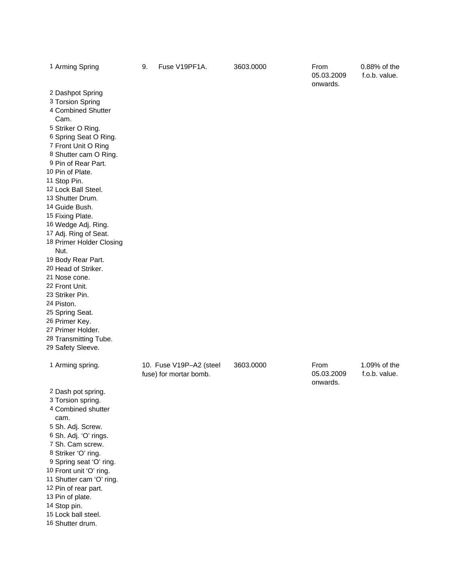| 1 Arming Spring                                                                                                                                                                                                                                                                                                                                                                                                                                                                                                                                                                                                           | 9. | Fuse V19PF1A.                                     | 3603.0000 | From<br>05.03.2009<br>onwards. | 0.88% of the<br>f.o.b. value. |
|---------------------------------------------------------------------------------------------------------------------------------------------------------------------------------------------------------------------------------------------------------------------------------------------------------------------------------------------------------------------------------------------------------------------------------------------------------------------------------------------------------------------------------------------------------------------------------------------------------------------------|----|---------------------------------------------------|-----------|--------------------------------|-------------------------------|
| 2 Dashpot Spring<br>3 Torsion Spring<br>4 Combined Shutter<br>Cam.<br>5 Striker O Ring.<br>6 Spring Seat O Ring.<br>7 Front Unit O Ring<br>8 Shutter cam O Ring.<br>9 Pin of Rear Part.<br>10 Pin of Plate.<br>11 Stop Pin.<br>12 Lock Ball Steel.<br>13 Shutter Drum.<br>14 Guide Bush.<br>15 Fixing Plate.<br>16 Wedge Adj. Ring.<br>17 Adj. Ring of Seat.<br>18 Primer Holder Closing<br>Nut.<br>19 Body Rear Part.<br>20 Head of Striker.<br>21 Nose cone.<br>22 Front Unit.<br>23 Striker Pin.<br>24 Piston.<br>25 Spring Seat.<br>26 Primer Key.<br>27 Primer Holder.<br>28 Transmitting Tube.<br>29 Safety Sleeve. |    |                                                   |           |                                |                               |
| 1 Arming spring.                                                                                                                                                                                                                                                                                                                                                                                                                                                                                                                                                                                                          |    | 10. Fuse V19P-A2 (steel<br>fuse) for mortar bomb. | 3603.0000 | From<br>05.03.2009<br>onwards. | 1.09% of the<br>f.o.b. value. |
| 2 Dash pot spring.<br>3 Torsion spring.<br>4 Combined shutter<br>cam.<br>5 Sh. Adj. Screw.<br>6 Sh. Adj. 'O' rings.<br>7 Sh. Cam screw.<br>8 Striker 'O' ring.<br>9 Spring seat 'O' ring.<br>10 Front unit 'O' ring.<br>11 Shutter cam 'O' ring.<br>12 Pin of rear part.<br>13 Pin of plate.<br>14 Stop pin.<br>15 Lock ball steel.                                                                                                                                                                                                                                                                                       |    |                                                   |           |                                |                               |

Shutter drum.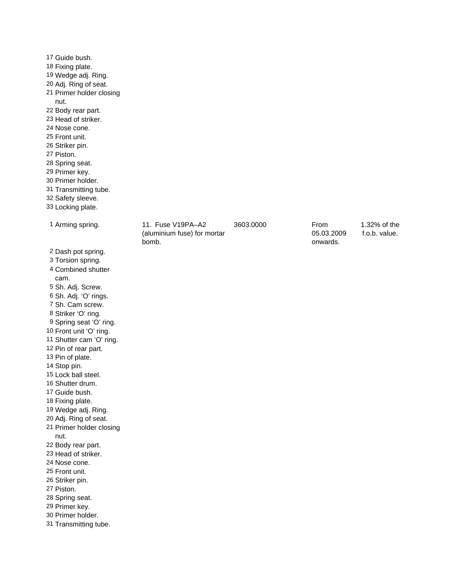Guide bush. Fixing plate. Wedge adj. Ring. Adj. Ring of seat. Primer holder closing nut. Body rear part. Head of striker. Nose cone. Front unit. Striker pin. Piston. Spring seat. Primer key. Primer holder. Transmitting tube. Safety sleeve. Locking plate. Arming spring. 11. Fuse V19PA–A2 (aluminium fuse) for mortar bomb. 3603.0000 From 05.03.2009 onwards. 1.32% of the f.o.b. value. Dash pot spring. Torsion spring. Combined shutter cam. Sh. Adj. Screw. Sh. Adj. 'O' rings. Sh. Cam screw. Striker 'O' ring. Spring seat 'O' ring. Front unit 'O' ring. Shutter cam 'O' ring. Pin of rear part. Pin of plate. Stop pin. Lock ball steel. Shutter drum. Guide bush. Fixing plate. Wedge adj. Ring. Adj. Ring of seat. Primer holder closing nut. Body rear part. Head of striker. Nose cone. Front unit. Striker pin. Piston. Spring seat. Primer key. Primer holder. Transmitting tube.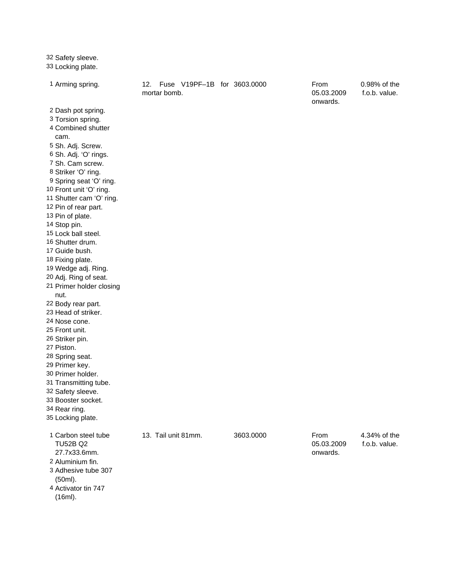| 32 Safety sleeve.<br>33 Locking plate.                                                                                                                                                                                                                                                                                                                                                                                                                                                                                                                                                                                                                                                                                                                                 |                                                    |           |                                |                               |
|------------------------------------------------------------------------------------------------------------------------------------------------------------------------------------------------------------------------------------------------------------------------------------------------------------------------------------------------------------------------------------------------------------------------------------------------------------------------------------------------------------------------------------------------------------------------------------------------------------------------------------------------------------------------------------------------------------------------------------------------------------------------|----------------------------------------------------|-----------|--------------------------------|-------------------------------|
| 1 Arming spring.                                                                                                                                                                                                                                                                                                                                                                                                                                                                                                                                                                                                                                                                                                                                                       | 12.<br>Fuse V19PF-1B for 3603.0000<br>mortar bomb. |           | From<br>05.03.2009<br>onwards. | 0.98% of the<br>f.o.b. value. |
| 2 Dash pot spring.<br>3 Torsion spring.<br>4 Combined shutter<br>cam.<br>5 Sh. Adj. Screw.<br>6 Sh. Adj. 'O' rings.<br>7 Sh. Cam screw.<br>8 Striker 'O' ring.<br>9 Spring seat 'O' ring.<br>10 Front unit 'O' ring.<br>11 Shutter cam 'O' ring.<br>12 Pin of rear part.<br>13 Pin of plate.<br>14 Stop pin.<br>15 Lock ball steel.<br>16 Shutter drum.<br>17 Guide bush.<br>18 Fixing plate.<br>19 Wedge adj. Ring.<br>20 Adj. Ring of seat.<br>21 Primer holder closing<br>nut.<br>22 Body rear part.<br>23 Head of striker.<br>24 Nose cone.<br>25 Front unit.<br>26 Striker pin.<br>27 Piston.<br>28 Spring seat.<br>29 Primer key.<br>30 Primer holder.<br>31 Transmitting tube.<br>32 Safety sleeve.<br>33 Booster socket.<br>34 Rear ring.<br>35 Locking plate. |                                                    |           |                                |                               |
| 1 Carbon steel tube<br><b>TU52B Q2</b><br>27.7x33.6mm.<br>2 Aluminium fin.<br>3 Adhesive tube 307<br>(50ml).<br>4 Activator tin 747<br>(16ml).                                                                                                                                                                                                                                                                                                                                                                                                                                                                                                                                                                                                                         | 13. Tail unit 81mm.                                | 3603.0000 | From<br>05.03.2009<br>onwards. | 4.34% of the<br>f.o.b. value. |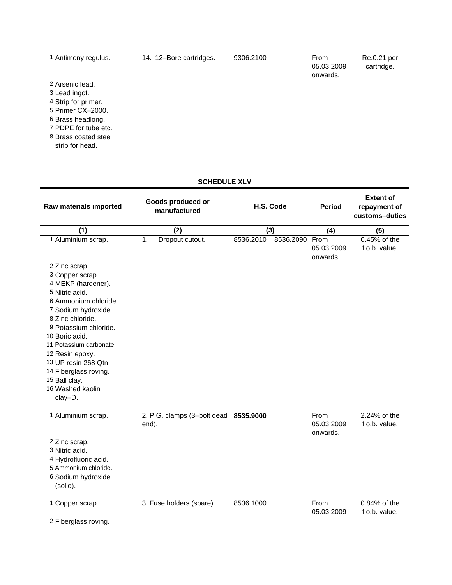| 1 Antimony regulus.  | 14. 12–Bore cartridges. | 9306.2100 | From<br>05.03.2009<br>onwards. | Re.0.21 per<br>cartridge. |
|----------------------|-------------------------|-----------|--------------------------------|---------------------------|
| 2 Arsenic lead.      |                         |           |                                |                           |
| 3 Lead ingot.        |                         |           |                                |                           |
| 4 Strip for primer.  |                         |           |                                |                           |
| 5 Primer CX-2000.    |                         |           |                                |                           |
| 6 Brass headlong.    |                         |           |                                |                           |
| 7 PDPE for tube etc. |                         |           |                                |                           |
| 8 Brass coated steel |                         |           |                                |                           |
| strip for head.      |                         |           |                                |                           |
|                      |                         |           |                                |                           |
|                      |                         |           |                                |                           |

### **SCHEDULE XLV**

| Raw materials imported                                                                                                                                                                                                                                                                                                                                      | Goods produced or<br>manufactured              | H.S. Code              | <b>Period</b>                  | <b>Extent of</b><br>repayment of<br>customs-duties |
|-------------------------------------------------------------------------------------------------------------------------------------------------------------------------------------------------------------------------------------------------------------------------------------------------------------------------------------------------------------|------------------------------------------------|------------------------|--------------------------------|----------------------------------------------------|
| (1)                                                                                                                                                                                                                                                                                                                                                         | (2)                                            | (3)                    | (4)                            | (5)                                                |
| 1 Aluminium scrap.<br>2 Zinc scrap.<br>3 Copper scrap.<br>4 MEKP (hardener).<br>5 Nitric acid.<br>6 Ammonium chloride.<br>7 Sodium hydroxide.<br>8 Zinc chloride.<br>9 Potassium chloride.<br>10 Boric acid.<br>11 Potassium carbonate.<br>12 Resin epoxy.<br>13 UP resin 268 Qtn.<br>14 Fiberglass roving.<br>15 Ball clay.<br>16 Washed kaolin<br>clay-D. | 1.<br>Dropout cutout.                          | 8536.2010<br>8536.2090 | From<br>05.03.2009<br>onwards. | 0.45% of the<br>f.o.b. value.                      |
| 1 Aluminium scrap.<br>2 Zinc scrap.<br>3 Nitric acid.<br>4 Hydrofluoric acid.<br>5 Ammonium chloride.                                                                                                                                                                                                                                                       | 2. P.G. clamps (3-bolt dead 8535.9000<br>end). |                        | From<br>05.03.2009<br>onwards. | 2.24% of the<br>f.o.b. value.                      |
| 6 Sodium hydroxide<br>(solid).<br>1 Copper scrap.<br>2 Fiberglass roving.                                                                                                                                                                                                                                                                                   | 3. Fuse holders (spare).                       | 8536.1000              | From<br>05.03.2009             | 0.84% of the<br>f.o.b. value.                      |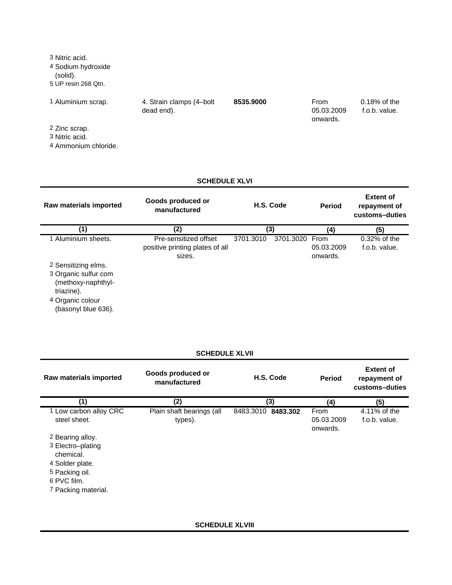| 3 Nitric acid.<br>4 Sodium hydroxide<br>(solid).<br>5 UP resin 268 Qtn. |                                         |           |                                |                                  |
|-------------------------------------------------------------------------|-----------------------------------------|-----------|--------------------------------|----------------------------------|
| 1 Aluminium scrap.                                                      | 4. Strain clamps (4-bolt)<br>dead end). | 8535,9000 | From<br>05.03.2009<br>onwards. | $0.18\%$ of the<br>f.o.b. value. |
| 2 Zinc scrap.<br>3 Nitric acid.<br>4 Ammonium chloride.                 |                                         |           |                                |                                  |

### **SCHEDULE XLVI**

| Raw materials imported                                                                                                     | Goods produced or<br>manufactured                                  | H.S. Code |                | <b>Period</b>          | <b>Extent of</b><br>repayment of<br>customs-duties |
|----------------------------------------------------------------------------------------------------------------------------|--------------------------------------------------------------------|-----------|----------------|------------------------|----------------------------------------------------|
| (1)                                                                                                                        | (2)                                                                | (3)       |                | (4)                    | (5)                                                |
| 1 Aluminium sheets.                                                                                                        | Pre-sensitized offset<br>positive printing plates of all<br>sizes. | 3701.3010 | 3701.3020 From | 05.03.2009<br>onwards. | $0.32\%$ of the<br>f.o.b. value.                   |
| 2 Sensitizing elms.<br>3 Organic sulfur com<br>(methoxy-naphthyl-<br>triazine).<br>4 Organic colour<br>(basonyl blue 636). |                                                                    |           |                |                        |                                                    |

## **SCHEDULE XLVII**

| Raw materials imported                                                                                                        | Goods produced or<br>manufactured    | H.S. Code             | <b>Period</b>                  | <b>Extent of</b><br>repayment of<br>customs-duties |
|-------------------------------------------------------------------------------------------------------------------------------|--------------------------------------|-----------------------|--------------------------------|----------------------------------------------------|
| (1)                                                                                                                           | (2)                                  | (3)                   | (4)                            | (5)                                                |
| 1 Low carbon alloy CRC<br>steel sheet.                                                                                        | Plain shaft bearings (all<br>types). | 8483.3010<br>8483.302 | From<br>05.03.2009<br>onwards. | 4.11% of the<br>f.o.b. value.                      |
| 2 Bearing alloy.<br>3 Electro-plating<br>chemical.<br>4 Solder plate.<br>5 Packing oil.<br>6 PVC film.<br>7 Packing material. |                                      |                       |                                |                                                    |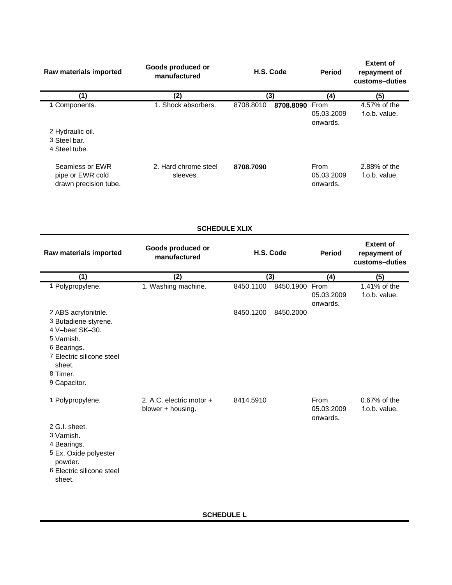| Raw materials imported                                       | Goods produced or<br>manufactured | H.S. Code                   | <b>Period</b>                  | <b>Extent of</b><br>repayment of<br>customs-duties |
|--------------------------------------------------------------|-----------------------------------|-----------------------------|--------------------------------|----------------------------------------------------|
| (1)                                                          | (2)                               | (3)                         | (4)                            | (5)                                                |
| 1 Components.                                                | 1. Shock absorbers.               | 8708.8010<br>8708.8090 From | 05.03.2009<br>onwards.         | 4.57% of the<br>f.o.b. value.                      |
| 2 Hydraulic oil.<br>3 Steel bar.<br>4 Steel tube.            |                                   |                             |                                |                                                    |
| Seamless or EWR<br>pipe or EWR cold<br>drawn precision tube. | 2. Hard chrome steel<br>sleeves.  | 8708.7090                   | From<br>05.03.2009<br>onwards. | 2.88% of the<br>f.o.b. value.                      |

| <b>SCHEDULE XLIX</b> |  |
|----------------------|--|
|----------------------|--|

| Raw materials imported                                                                                                                                          | Goods produced or<br>manufactured             | H.S. Code |           | <b>Period</b>                  | <b>Extent of</b><br>repayment of<br>customs-duties |
|-----------------------------------------------------------------------------------------------------------------------------------------------------------------|-----------------------------------------------|-----------|-----------|--------------------------------|----------------------------------------------------|
| (1)                                                                                                                                                             | (2)                                           | (3)       |           | (4)                            | (5)                                                |
| 1 Polypropylene.                                                                                                                                                | 1. Washing machine.                           | 8450.1100 | 8450.1900 | From<br>05.03.2009<br>onwards. | 1.41% of the<br>f.o.b. value.                      |
| 2 ABS acrylonitrile.<br>3 Butadiene styrene.<br>4 V-beet SK-30.<br>5 Varnish.<br>6 Bearings.<br>7 Electric silicone steel<br>sheet.<br>8 Timer.<br>9 Capacitor. |                                               | 8450.1200 | 8450.2000 |                                |                                                    |
| 1 Polypropylene.<br>2 G.I. sheet.<br>3 Varnish.<br>4 Bearings.<br>5 Ex. Oxide polyester<br>powder.<br>6 Electric silicone steel<br>sheet.                       | 2. A.C. electric motor +<br>blower + housing. | 8414.5910 |           | From<br>05.03.2009<br>onwards. | 0.67% of the<br>f.o.b. value.                      |

**SCHEDULE L**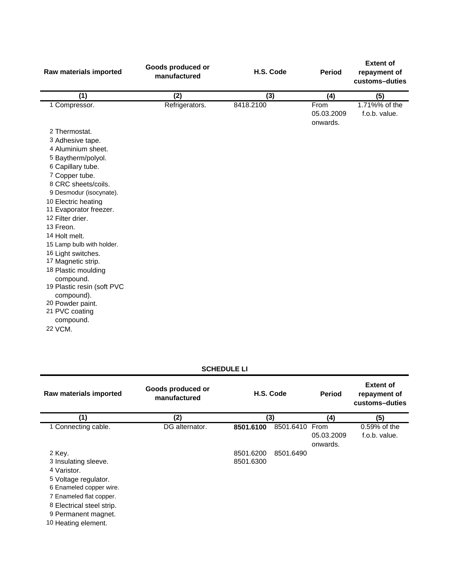| Raw materials imported         | Goods produced or<br>manufactured | H.S. Code | <b>Period</b>                  | <b>Extent of</b><br>repayment of<br>customs-duties |
|--------------------------------|-----------------------------------|-----------|--------------------------------|----------------------------------------------------|
| (1)                            | (2)                               | (3)       | (4)                            | (5)                                                |
| 1 Compressor.                  | Refrigerators.                    | 8418.2100 | From<br>05.03.2009<br>onwards. | 1.71%% of the<br>f.o.b. value.                     |
| 2 Thermostat.                  |                                   |           |                                |                                                    |
| 3 Adhesive tape.               |                                   |           |                                |                                                    |
| 4 Aluminium sheet.             |                                   |           |                                |                                                    |
| 5 Baytherm/polyol.             |                                   |           |                                |                                                    |
| 6 Capillary tube.              |                                   |           |                                |                                                    |
| 7 Copper tube.                 |                                   |           |                                |                                                    |
| 8 CRC sheets/coils.            |                                   |           |                                |                                                    |
| 9 Desmodur (isocynate).        |                                   |           |                                |                                                    |
| 10 Electric heating            |                                   |           |                                |                                                    |
| 11 Evaporator freezer.         |                                   |           |                                |                                                    |
| 12 Filter drier.               |                                   |           |                                |                                                    |
| 13 Freon.                      |                                   |           |                                |                                                    |
| 14 Holt melt.                  |                                   |           |                                |                                                    |
| 15 Lamp bulb with holder.      |                                   |           |                                |                                                    |
| 16 Light switches.             |                                   |           |                                |                                                    |
| 17 Magnetic strip.             |                                   |           |                                |                                                    |
| 18 Plastic moulding            |                                   |           |                                |                                                    |
| compound.                      |                                   |           |                                |                                                    |
| 19 Plastic resin (soft PVC     |                                   |           |                                |                                                    |
| compound).<br>20 Powder paint. |                                   |           |                                |                                                    |
| 21 PVC coating                 |                                   |           |                                |                                                    |
| compound.                      |                                   |           |                                |                                                    |
| 22 VCM.                        |                                   |           |                                |                                                    |

### **SCHEDULE LI**

| Goods produced or<br>manufactured | H.S. Code              |           | <b>Period</b>                  | <b>Extent of</b><br>repayment of<br>customs-duties |
|-----------------------------------|------------------------|-----------|--------------------------------|----------------------------------------------------|
| (2)                               |                        |           | (4)                            | (5)                                                |
| DG alternator.                    | 8501.6100              |           | From<br>05.03.2009<br>onwards. | 0.59% of the<br>f.o.b. value.                      |
|                                   | 8501.6200<br>8501.6300 | 8501.6490 |                                |                                                    |
|                                   |                        |           | (3)                            | 8501.6410                                          |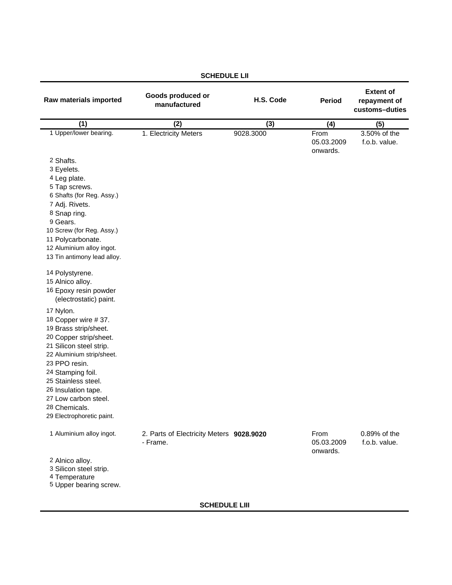| Raw materials imported                                                                                                                                                                                                                                                                                | Goods produced or<br>manufactured                    | H.S. Code | <b>Period</b>                  | <b>Extent of</b><br>repayment of<br>customs-duties |
|-------------------------------------------------------------------------------------------------------------------------------------------------------------------------------------------------------------------------------------------------------------------------------------------------------|------------------------------------------------------|-----------|--------------------------------|----------------------------------------------------|
| (1)                                                                                                                                                                                                                                                                                                   | (2)                                                  | (3)       | (4)                            | (5)                                                |
| 1 Upper/lower bearing.<br>2 Shafts.                                                                                                                                                                                                                                                                   | 1. Electricity Meters                                | 9028.3000 | From<br>05.03.2009<br>onwards. | 3.50% of the<br>f.o.b. value.                      |
| 3 Eyelets.<br>4 Leg plate.<br>5 Tap screws.<br>6 Shafts (for Reg. Assy.)<br>7 Adj. Rivets.<br>8 Snap ring.<br>9 Gears.<br>10 Screw (for Reg. Assy.)<br>11 Polycarbonate.<br>12 Aluminium alloy ingot.<br>13 Tin antimony lead alloy.<br>14 Polystyrene.                                               |                                                      |           |                                |                                                    |
| 15 Alnico alloy.<br>16 Epoxy resin powder<br>(electrostatic) paint.                                                                                                                                                                                                                                   |                                                      |           |                                |                                                    |
| 17 Nylon.<br>18 Copper wire #37.<br>19 Brass strip/sheet.<br>20 Copper strip/sheet.<br>21 Silicon steel strip.<br>22 Aluminium strip/sheet.<br>23 PPO resin.<br>24 Stamping foil.<br>25 Stainless steel.<br>26 Insulation tape.<br>27 Low carbon steel.<br>28 Chemicals.<br>29 Electrophoretic paint. |                                                      |           |                                |                                                    |
| 1 Aluminium alloy ingot.                                                                                                                                                                                                                                                                              | 2. Parts of Electricity Meters 9028.9020<br>- Frame. |           | From<br>05.03.2009<br>onwards. | 0.89% of the<br>f.o.b. value.                      |
| 2 Alnico alloy.<br>3 Silicon steel strip.<br>4 Temperature<br>5 Upper bearing screw.                                                                                                                                                                                                                  |                                                      |           |                                |                                                    |

## **SCHEDULE LII**

**SCHEDULE LIII**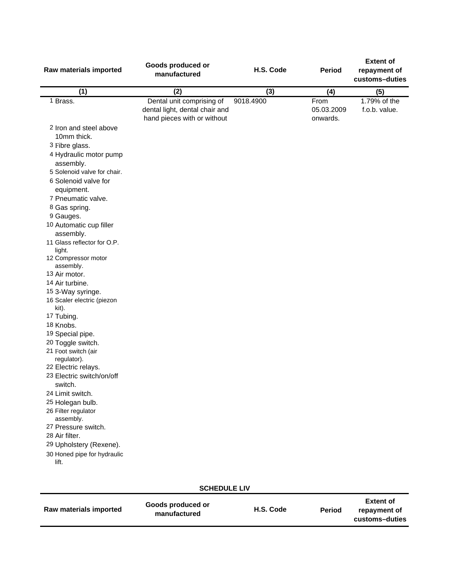| Raw materials imported                                                                                                                                                                                                                                                                                                                                                                                                                                                                                                                                                                                                                                                                                                                     | Goods produced or<br>manufactured                                                          | H.S. Code | <b>Period</b>                  | <b>Extent of</b><br>repayment of<br>customs-duties |
|--------------------------------------------------------------------------------------------------------------------------------------------------------------------------------------------------------------------------------------------------------------------------------------------------------------------------------------------------------------------------------------------------------------------------------------------------------------------------------------------------------------------------------------------------------------------------------------------------------------------------------------------------------------------------------------------------------------------------------------------|--------------------------------------------------------------------------------------------|-----------|--------------------------------|----------------------------------------------------|
| (1)                                                                                                                                                                                                                                                                                                                                                                                                                                                                                                                                                                                                                                                                                                                                        | (2)                                                                                        | (3)       | (4)                            | (5)                                                |
| 1 Brass.                                                                                                                                                                                                                                                                                                                                                                                                                                                                                                                                                                                                                                                                                                                                   | Dental unit comprising of<br>dental light, dental chair and<br>hand pieces with or without | 9018.4900 | From<br>05.03.2009<br>onwards. | 1.79% of the<br>f.o.b. value.                      |
| 2 Iron and steel above<br>10mm thick.<br>3 Fibre glass.<br>4 Hydraulic motor pump<br>assembly.<br>5 Solenoid valve for chair.<br>6 Solenoid valve for<br>equipment.<br>7 Pneumatic valve.<br>8 Gas spring.<br>9 Gauges.<br>10 Automatic cup filler<br>assembly.<br>11 Glass reflector for O.P.<br>light.<br>12 Compressor motor<br>assembly.<br>13 Air motor.<br>14 Air turbine.<br>15 3-Way syringe.<br>16 Scaler electric (piezon<br>kit).<br>17 Tubing.<br>18 Knobs.<br>19 Special pipe.<br>20 Toggle switch.<br>21 Foot switch (air<br>regulator).<br>22 Electric relays.<br>23 Electric switch/on/off<br>switch.<br>24 Limit switch.<br>25 Holegan bulb.<br>26 Filter regulator<br>assembly.<br>27 Pressure switch.<br>28 Air filter. |                                                                                            |           |                                |                                                    |
| 29 Upholstery (Rexene).<br>30 Honed pipe for hydraulic                                                                                                                                                                                                                                                                                                                                                                                                                                                                                                                                                                                                                                                                                     |                                                                                            |           |                                |                                                    |
| lift.                                                                                                                                                                                                                                                                                                                                                                                                                                                                                                                                                                                                                                                                                                                                      |                                                                                            |           |                                |                                                    |

**Period Extent of repayment of customs–duties SCHEDULE LIV Raw materials imported Goods produced or manufactured H.S. Code**